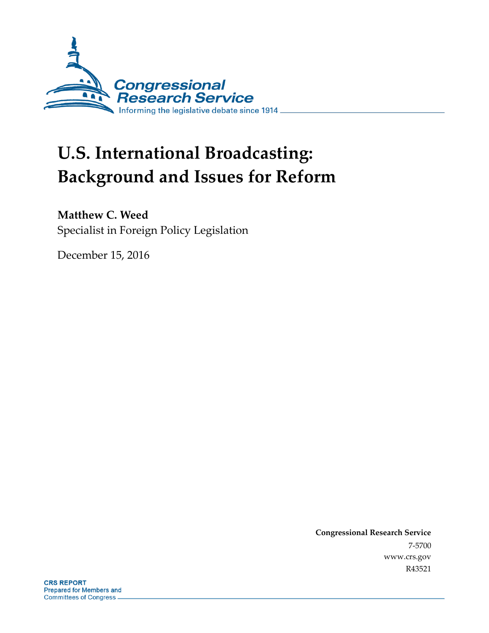

# **U.S. International Broadcasting: Background and Issues for Reform**

# **Matthew C. Weed**

Specialist in Foreign Policy Legislation

December 15, 2016

**Congressional Research Service** 7-5700 www.crs.gov R43521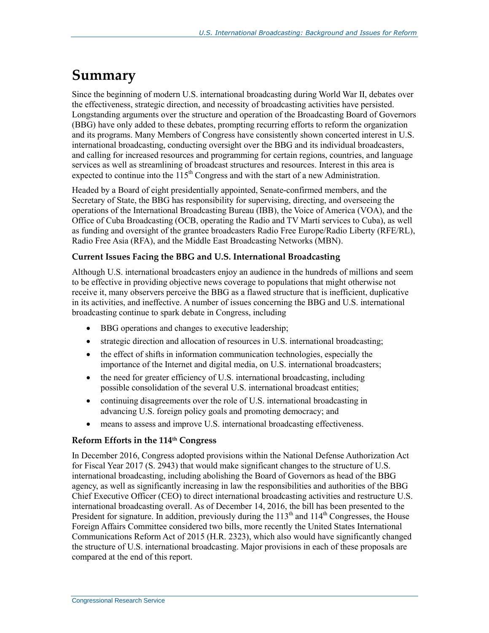# **Summary**

Since the beginning of modern U.S. international broadcasting during World War II, debates over the effectiveness, strategic direction, and necessity of broadcasting activities have persisted. Longstanding arguments over the structure and operation of the Broadcasting Board of Governors (BBG) have only added to these debates, prompting recurring efforts to reform the organization and its programs. Many Members of Congress have consistently shown concerted interest in U.S. international broadcasting, conducting oversight over the BBG and its individual broadcasters, and calling for increased resources and programming for certain regions, countries, and language services as well as streamlining of broadcast structures and resources. Interest in this area is expected to continue into the  $115<sup>th</sup>$  Congress and with the start of a new Administration.

Headed by a Board of eight presidentially appointed, Senate-confirmed members, and the Secretary of State, the BBG has responsibility for supervising, directing, and overseeing the operations of the International Broadcasting Bureau (IBB), the Voice of America (VOA), and the Office of Cuba Broadcasting (OCB, operating the Radio and TV Martí services to Cuba), as well as funding and oversight of the grantee broadcasters Radio Free Europe/Radio Liberty (RFE/RL), Radio Free Asia (RFA), and the Middle East Broadcasting Networks (MBN).

#### **Current Issues Facing the BBG and U.S. International Broadcasting**

Although U.S. international broadcasters enjoy an audience in the hundreds of millions and seem to be effective in providing objective news coverage to populations that might otherwise not receive it, many observers perceive the BBG as a flawed structure that is inefficient, duplicative in its activities, and ineffective. A number of issues concerning the BBG and U.S. international broadcasting continue to spark debate in Congress, including

- BBG operations and changes to executive leadership;
- strategic direction and allocation of resources in U.S. international broadcasting;
- the effect of shifts in information communication technologies, especially the importance of the Internet and digital media, on U.S. international broadcasters;
- the need for greater efficiency of U.S. international broadcasting, including possible consolidation of the several U.S. international broadcast entities;
- continuing disagreements over the role of U.S. international broadcasting in advancing U.S. foreign policy goals and promoting democracy; and
- means to assess and improve U.S. international broadcasting effectiveness.

#### **Reform Efforts in the 114th Congress**

In December 2016, Congress adopted provisions within the National Defense Authorization Act for Fiscal Year 2017 (S. 2943) that would make significant changes to the structure of U.S. international broadcasting, including abolishing the Board of Governors as head of the BBG agency, as well as significantly increasing in law the responsibilities and authorities of the BBG Chief Executive Officer (CEO) to direct international broadcasting activities and restructure U.S. international broadcasting overall. As of December 14, 2016, the bill has been presented to the President for signature. In addition, previously during the  $113<sup>th</sup>$  and  $114<sup>th</sup>$  Congresses, the House Foreign Affairs Committee considered two bills, more recently the United States International Communications Reform Act of 2015 (H.R. 2323), which also would have significantly changed the structure of U.S. international broadcasting. Major provisions in each of these proposals are compared at the end of this report.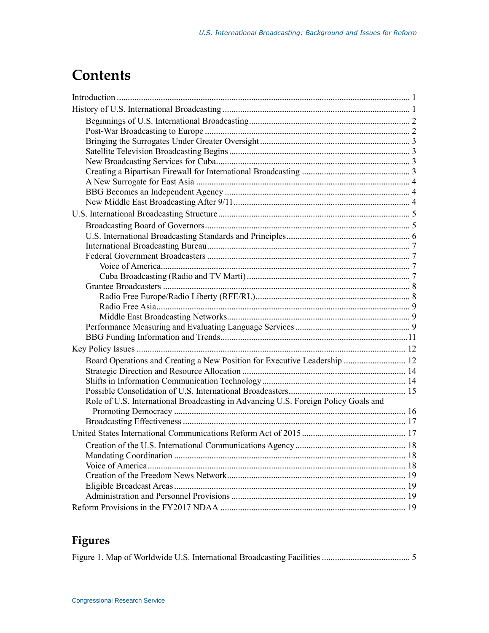# **Contents**

| Board Operations and Creating a New Position for Executive Leadership  12          |  |
|------------------------------------------------------------------------------------|--|
|                                                                                    |  |
|                                                                                    |  |
|                                                                                    |  |
| Role of U.S. International Broadcasting in Advancing U.S. Foreign Policy Goals and |  |
|                                                                                    |  |
|                                                                                    |  |
|                                                                                    |  |
|                                                                                    |  |
|                                                                                    |  |
|                                                                                    |  |
|                                                                                    |  |
|                                                                                    |  |
|                                                                                    |  |

# **Figures**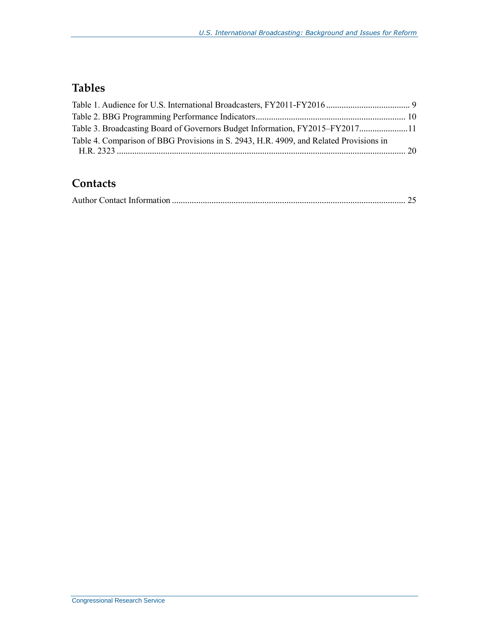# **Tables**

| Table 3. Broadcasting Board of Governors Budget Information, FY2015–FY201711           |  |
|----------------------------------------------------------------------------------------|--|
| Table 4. Comparison of BBG Provisions in S. 2943, H.R. 4909, and Related Provisions in |  |
|                                                                                        |  |

# **Contacts**

|--|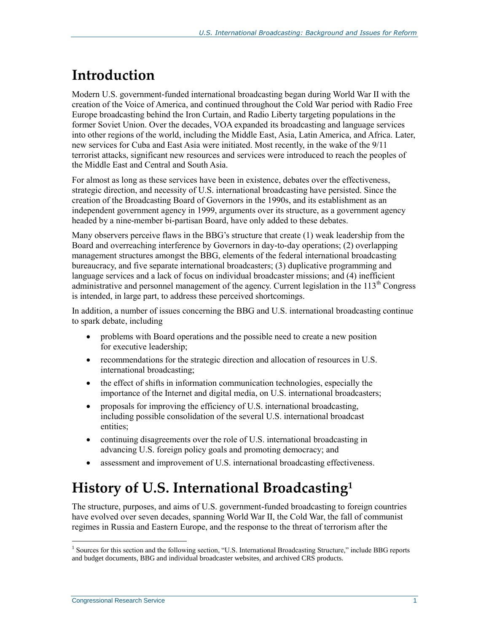# **Introduction**

Modern U.S. government-funded international broadcasting began during World War II with the creation of the Voice of America, and continued throughout the Cold War period with Radio Free Europe broadcasting behind the Iron Curtain, and Radio Liberty targeting populations in the former Soviet Union. Over the decades, VOA expanded its broadcasting and language services into other regions of the world, including the Middle East, Asia, Latin America, and Africa. Later, new services for Cuba and East Asia were initiated. Most recently, in the wake of the 9/11 terrorist attacks, significant new resources and services were introduced to reach the peoples of the Middle East and Central and South Asia.

For almost as long as these services have been in existence, debates over the effectiveness, strategic direction, and necessity of U.S. international broadcasting have persisted. Since the creation of the Broadcasting Board of Governors in the 1990s, and its establishment as an independent government agency in 1999, arguments over its structure, as a government agency headed by a nine-member bi-partisan Board, have only added to these debates.

Many observers perceive flaws in the BBG's structure that create (1) weak leadership from the Board and overreaching interference by Governors in day-to-day operations; (2) overlapping management structures amongst the BBG, elements of the federal international broadcasting bureaucracy, and five separate international broadcasters; (3) duplicative programming and language services and a lack of focus on individual broadcaster missions; and (4) inefficient administrative and personnel management of the agency. Current legislation in the 113<sup>th</sup> Congress is intended, in large part, to address these perceived shortcomings.

In addition, a number of issues concerning the BBG and U.S. international broadcasting continue to spark debate, including

- problems with Board operations and the possible need to create a new position for executive leadership;
- recommendations for the strategic direction and allocation of resources in U.S. international broadcasting;
- the effect of shifts in information communication technologies, especially the importance of the Internet and digital media, on U.S. international broadcasters;
- proposals for improving the efficiency of U.S. international broadcasting, including possible consolidation of the several U.S. international broadcast entities;
- continuing disagreements over the role of U.S. international broadcasting in advancing U.S. foreign policy goals and promoting democracy; and
- assessment and improvement of U.S. international broadcasting effectiveness.

# **History of U.S. International Broadcasting<sup>1</sup>**

The structure, purposes, and aims of U.S. government-funded broadcasting to foreign countries have evolved over seven decades, spanning World War II, the Cold War, the fall of communist regimes in Russia and Eastern Europe, and the response to the threat of terrorism after the

<sup>&</sup>lt;sup>1</sup> Sources for this section and the following section, "U.S. International Broadcasting Structure," include BBG reports and budget documents, BBG and individual broadcaster websites, and archived CRS products.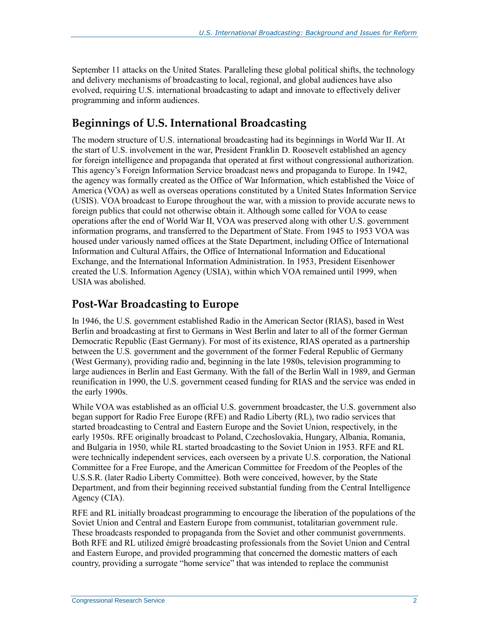September 11 attacks on the United States. Paralleling these global political shifts, the technology and delivery mechanisms of broadcasting to local, regional, and global audiences have also evolved, requiring U.S. international broadcasting to adapt and innovate to effectively deliver programming and inform audiences.

## **Beginnings of U.S. International Broadcasting**

The modern structure of U.S. international broadcasting had its beginnings in World War II. At the start of U.S. involvement in the war, President Franklin D. Roosevelt established an agency for foreign intelligence and propaganda that operated at first without congressional authorization. This agency's Foreign Information Service broadcast news and propaganda to Europe. In 1942, the agency was formally created as the Office of War Information, which established the Voice of America (VOA) as well as overseas operations constituted by a United States Information Service (USIS). VOA broadcast to Europe throughout the war, with a mission to provide accurate news to foreign publics that could not otherwise obtain it. Although some called for VOA to cease operations after the end of World War II, VOA was preserved along with other U.S. government information programs, and transferred to the Department of State. From 1945 to 1953 VOA was housed under variously named offices at the State Department, including Office of International Information and Cultural Affairs, the Office of International Information and Educational Exchange, and the International Information Administration. In 1953, President Eisenhower created the U.S. Information Agency (USIA), within which VOA remained until 1999, when USIA was abolished.

### **Post-War Broadcasting to Europe**

In 1946, the U.S. government established Radio in the American Sector (RIAS), based in West Berlin and broadcasting at first to Germans in West Berlin and later to all of the former German Democratic Republic (East Germany). For most of its existence, RIAS operated as a partnership between the U.S. government and the government of the former Federal Republic of Germany (West Germany), providing radio and, beginning in the late 1980s, television programming to large audiences in Berlin and East Germany. With the fall of the Berlin Wall in 1989, and German reunification in 1990, the U.S. government ceased funding for RIAS and the service was ended in the early 1990s.

While VOA was established as an official U.S. government broadcaster, the U.S. government also began support for Radio Free Europe (RFE) and Radio Liberty (RL), two radio services that started broadcasting to Central and Eastern Europe and the Soviet Union, respectively, in the early 1950s. RFE originally broadcast to Poland, Czechoslovakia, Hungary, Albania, Romania, and Bulgaria in 1950, while RL started broadcasting to the Soviet Union in 1953. RFE and RL were technically independent services, each overseen by a private U.S. corporation, the National Committee for a Free Europe, and the American Committee for Freedom of the Peoples of the U.S.S.R. (later Radio Liberty Committee). Both were conceived, however, by the State Department, and from their beginning received substantial funding from the Central Intelligence Agency (CIA).

RFE and RL initially broadcast programming to encourage the liberation of the populations of the Soviet Union and Central and Eastern Europe from communist, totalitarian government rule. These broadcasts responded to propaganda from the Soviet and other communist governments. Both RFE and RL utilized émigré broadcasting professionals from the Soviet Union and Central and Eastern Europe, and provided programming that concerned the domestic matters of each country, providing a surrogate "home service" that was intended to replace the communist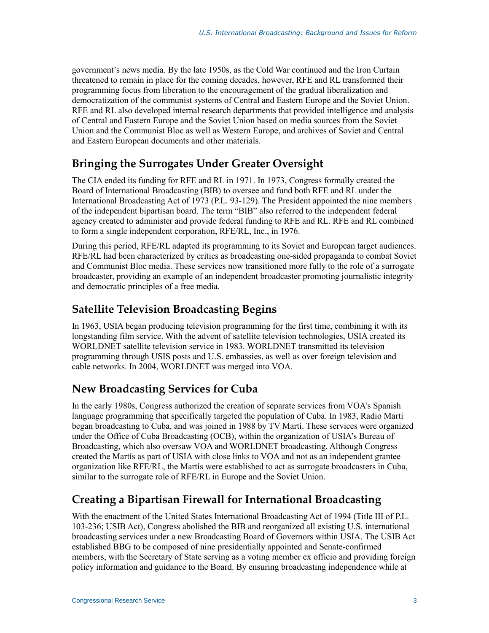government's news media. By the late 1950s, as the Cold War continued and the Iron Curtain threatened to remain in place for the coming decades, however, RFE and RL transformed their programming focus from liberation to the encouragement of the gradual liberalization and democratization of the communist systems of Central and Eastern Europe and the Soviet Union. RFE and RL also developed internal research departments that provided intelligence and analysis of Central and Eastern Europe and the Soviet Union based on media sources from the Soviet Union and the Communist Bloc as well as Western Europe, and archives of Soviet and Central and Eastern European documents and other materials.

# **Bringing the Surrogates Under Greater Oversight**

The CIA ended its funding for RFE and RL in 1971. In 1973, Congress formally created the Board of International Broadcasting (BIB) to oversee and fund both RFE and RL under the International Broadcasting Act of 1973 (P.L. 93-129). The President appointed the nine members of the independent bipartisan board. The term "BIB" also referred to the independent federal agency created to administer and provide federal funding to RFE and RL. RFE and RL combined to form a single independent corporation, RFE/RL, Inc., in 1976.

During this period, RFE/RL adapted its programming to its Soviet and European target audiences. RFE/RL had been characterized by critics as broadcasting one-sided propaganda to combat Soviet and Communist Bloc media. These services now transitioned more fully to the role of a surrogate broadcaster, providing an example of an independent broadcaster promoting journalistic integrity and democratic principles of a free media.

# **Satellite Television Broadcasting Begins**

In 1963, USIA began producing television programming for the first time, combining it with its longstanding film service. With the advent of satellite television technologies, USIA created its WORLDNET satellite television service in 1983. WORLDNET transmitted its television programming through USIS posts and U.S. embassies, as well as over foreign television and cable networks. In 2004, WORLDNET was merged into VOA.

# **New Broadcasting Services for Cuba**

In the early 1980s, Congress authorized the creation of separate services from VOA's Spanish language programming that specifically targeted the population of Cuba. In 1983, Radio Martí began broadcasting to Cuba, and was joined in 1988 by TV Martí. These services were organized under the Office of Cuba Broadcasting (OCB), within the organization of USIA's Bureau of Broadcasting, which also oversaw VOA and WORLDNET broadcasting. Although Congress created the Martís as part of USIA with close links to VOA and not as an independent grantee organization like RFE/RL, the Martís were established to act as surrogate broadcasters in Cuba, similar to the surrogate role of RFE/RL in Europe and the Soviet Union.

# **Creating a Bipartisan Firewall for International Broadcasting**

With the enactment of the United States International Broadcasting Act of 1994 (Title III of [P.L.](http://www.congress.gov/cgi-lis/bdquery/R?d103:FLD002:@1(103+236))  [103-236;](http://www.congress.gov/cgi-lis/bdquery/R?d103:FLD002:@1(103+236)) USIB Act), Congress abolished the BIB and reorganized all existing U.S. international broadcasting services under a new Broadcasting Board of Governors within USIA. The USIB Act established BBG to be composed of nine presidentially appointed and Senate-confirmed members, with the Secretary of State serving as a voting member ex officio and providing foreign policy information and guidance to the Board. By ensuring broadcasting independence while at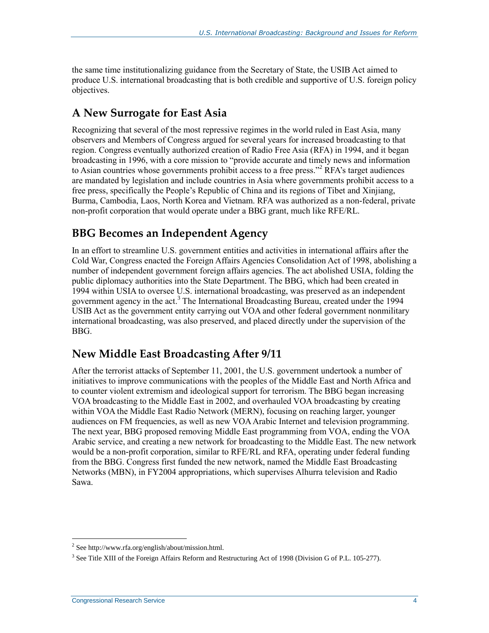the same time institutionalizing guidance from the Secretary of State, the USIB Act aimed to produce U.S. international broadcasting that is both credible and supportive of U.S. foreign policy objectives.

## **A New Surrogate for East Asia**

Recognizing that several of the most repressive regimes in the world ruled in East Asia, many observers and Members of Congress argued for several years for increased broadcasting to that region. Congress eventually authorized creation of Radio Free Asia (RFA) in 1994, and it began broadcasting in 1996, with a core mission to "provide accurate and timely news and information to Asian countries whose governments prohibit access to a free press."<sup>2</sup> RFA's target audiences are mandated by legislation and include countries in Asia where governments prohibit access to a free press, specifically the People's Republic of China and its regions of Tibet and Xinjiang, Burma, Cambodia, Laos, North Korea and Vietnam. RFA was authorized as a non-federal, private non-profit corporation that would operate under a BBG grant, much like RFE/RL.

## **BBG Becomes an Independent Agency**

In an effort to streamline U.S. government entities and activities in international affairs after the Cold War, Congress enacted the Foreign Affairs Agencies Consolidation Act of 1998, abolishing a number of independent government foreign affairs agencies. The act abolished USIA, folding the public diplomacy authorities into the State Department. The BBG, which had been created in 1994 within USIA to oversee U.S. international broadcasting, was preserved as an independent government agency in the act.<sup>3</sup> The International Broadcasting Bureau, created under the 1994 USIB Act as the government entity carrying out VOA and other federal government nonmilitary international broadcasting, was also preserved, and placed directly under the supervision of the BBG.

### **New Middle East Broadcasting After 9/11**

After the terrorist attacks of September 11, 2001, the U.S. government undertook a number of initiatives to improve communications with the peoples of the Middle East and North Africa and to counter violent extremism and ideological support for terrorism. The BBG began increasing VOA broadcasting to the Middle East in 2002, and overhauled VOA broadcasting by creating within VOA the Middle East Radio Network (MERN), focusing on reaching larger, younger audiences on FM frequencies, as well as new VOA Arabic Internet and television programming. The next year, BBG proposed removing Middle East programming from VOA, ending the VOA Arabic service, and creating a new network for broadcasting to the Middle East. The new network would be a non-profit corporation, similar to RFE/RL and RFA, operating under federal funding from the BBG. Congress first funded the new network, named the Middle East Broadcasting Networks (MBN), in FY2004 appropriations, which supervises Alhurra television and Radio Sawa.

<sup>2</sup> See http://www.rfa.org/english/about/mission.html.

<sup>&</sup>lt;sup>3</sup> See Title XIII of the Foreign Affairs Reform and Restructuring Act of 1998 (Division G of P.L. 105-277).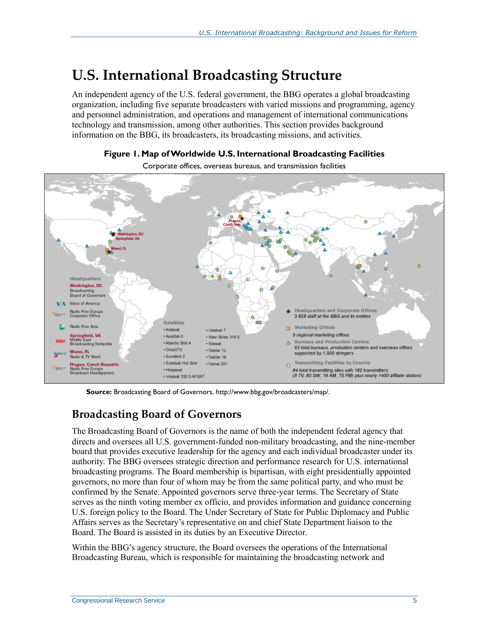# **U.S. International Broadcasting Structure**

An independent agency of the U.S. federal government, the BBG operates a global broadcasting organization, including five separate broadcasters with varied missions and programming, agency and personnel administration, and operations and management of international communications technology and transmission, among other authorities. This section provides background information on the BBG, its broadcasters, its broadcasting missions, and activities.



Corporate offices, overseas bureaus, and transmission facilities



**Source:** Broadcasting Board of Governors, http://www.bbg.gov/broadcasters/map/.

### **Broadcasting Board of Governors**

The Broadcasting Board of Governors is the name of both the independent federal agency that directs and oversees all U.S. government-funded non-military broadcasting, and the nine-member board that provides executive leadership for the agency and each individual broadcaster under its authority. The BBG oversees strategic direction and performance research for U.S. international broadcasting programs. The Board membership is bipartisan, with eight presidentially appointed governors, no more than four of whom may be from the same political party, and who must be confirmed by the Senate. Appointed governors serve three-year terms. The Secretary of State serves as the ninth voting member ex officio, and provides information and guidance concerning U.S. foreign policy to the Board. The Under Secretary of State for Public Diplomacy and Public Affairs serves as the Secretary's representative on and chief State Department liaison to the Board. The Board is assisted in its duties by an Executive Director.

Within the BBG's agency structure, the Board oversees the operations of the International Broadcasting Bureau, which is responsible for maintaining the broadcasting network and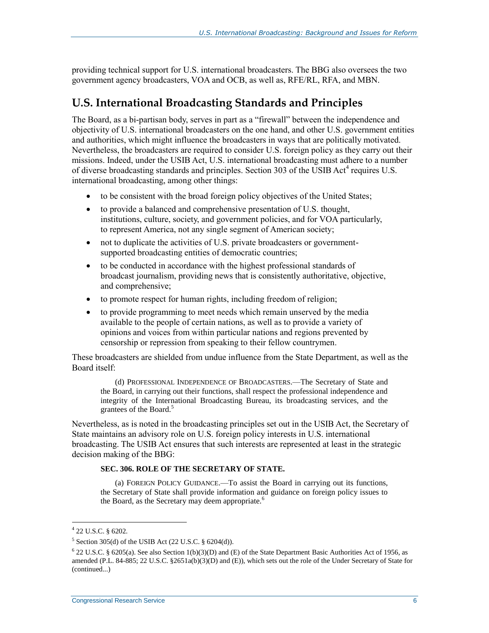providing technical support for U.S. international broadcasters. The BBG also oversees the two government agency broadcasters, VOA and OCB, as well as, RFE/RL, RFA, and MBN.

### **U.S. International Broadcasting Standards and Principles**

The Board, as a bi-partisan body, serves in part as a "firewall" between the independence and objectivity of U.S. international broadcasters on the one hand, and other U.S. government entities and authorities, which might influence the broadcasters in ways that are politically motivated. Nevertheless, the broadcasters are required to consider U.S. foreign policy as they carry out their missions. Indeed, under the USIB Act, U.S. international broadcasting must adhere to a number of diverse broadcasting standards and principles. Section 303 of the USIB Act<sup>4</sup> requires U.S. international broadcasting, among other things:

- to be consistent with the broad foreign policy objectives of the United States;
- to provide a balanced and comprehensive presentation of U.S. thought, institutions, culture, society, and government policies, and for VOA particularly, to represent America, not any single segment of American society;
- not to duplicate the activities of U.S. private broadcasters or governmentsupported broadcasting entities of democratic countries;
- to be conducted in accordance with the highest professional standards of broadcast journalism, providing news that is consistently authoritative, objective, and comprehensive;
- to promote respect for human rights, including freedom of religion;
- to provide programming to meet needs which remain unserved by the media available to the people of certain nations, as well as to provide a variety of opinions and voices from within particular nations and regions prevented by censorship or repression from speaking to their fellow countrymen.

These broadcasters are shielded from undue influence from the State Department, as well as the Board itself:

(d) PROFESSIONAL INDEPENDENCE OF BROADCASTERS.—The Secretary of State and the Board, in carrying out their functions, shall respect the professional independence and integrity of the International Broadcasting Bureau, its broadcasting services, and the grantees of the Board.<sup>5</sup>

Nevertheless, as is noted in the broadcasting principles set out in the USIB Act, the Secretary of State maintains an advisory role on U.S. foreign policy interests in U.S. international broadcasting. The USIB Act ensures that such interests are represented at least in the strategic decision making of the BBG:

#### **SEC. 306. ROLE OF THE SECRETARY OF STATE.**

(a) FOREIGN POLICY GUIDANCE.—To assist the Board in carrying out its functions, the Secretary of State shall provide information and guidance on foreign policy issues to the Board, as the Secretary may deem appropriate.<sup>6</sup>

<sup>4</sup> 22 U.S.C. § 6202.

<sup>&</sup>lt;sup>5</sup> Section 305(d) of the USIB Act (22 U.S.C.  $\S$  6204(d)).

 $622$  U.S.C. § 6205(a). See also Section 1(b)(3)(D) and (E) of the State Department Basic Authorities Act of 1956, as amended (P.L. 84-885; 22 U.S.C. §2651a(b)(3)(D) and (E)), which sets out the role of the Under Secretary of State for (continued...)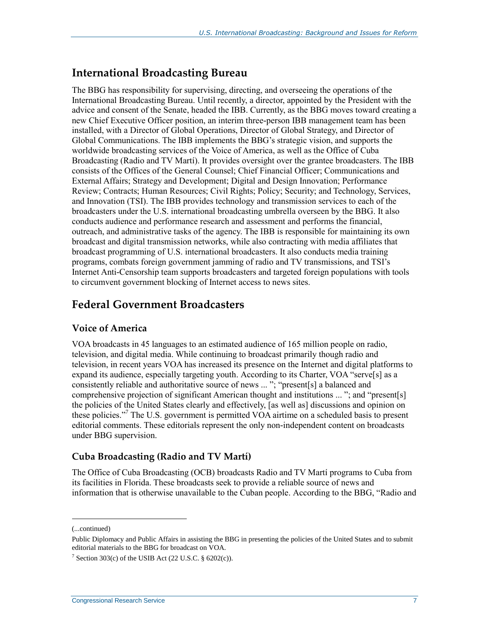### **International Broadcasting Bureau**

The BBG has responsibility for supervising, directing, and overseeing the operations of the International Broadcasting Bureau. Until recently, a director, appointed by the President with the advice and consent of the Senate, headed the IBB. Currently, as the BBG moves toward creating a new Chief Executive Officer position, an interim three-person IBB management team has been installed, with a Director of Global Operations, Director of Global Strategy, and Director of Global Communications. The IBB implements the BBG's strategic vision, and supports the worldwide broadcasting services of the Voice of America, as well as the Office of Cuba Broadcasting (Radio and TV Martí). It provides oversight over the grantee broadcasters. The IBB consists of the Offices of the General Counsel; Chief Financial Officer; Communications and External Affairs; Strategy and Development; Digital and Design Innovation; Performance Review; Contracts; Human Resources; Civil Rights; Policy; Security; and Technology, Services, and Innovation (TSI). The IBB provides technology and transmission services to each of the broadcasters under the U.S. international broadcasting umbrella overseen by the BBG. It also conducts audience and performance research and assessment and performs the financial, outreach, and administrative tasks of the agency. The IBB is responsible for maintaining its own broadcast and digital transmission networks, while also contracting with media affiliates that broadcast programming of U.S. international broadcasters. It also conducts media training programs, combats foreign government jamming of radio and TV transmissions, and TSI's Internet Anti-Censorship team supports broadcasters and targeted foreign populations with tools to circumvent government blocking of Internet access to news sites.

## **Federal Government Broadcasters**

#### **Voice of America**

VOA broadcasts in 45 languages to an estimated audience of 165 million people on radio, television, and digital media. While continuing to broadcast primarily though radio and television, in recent years VOA has increased its presence on the Internet and digital platforms to expand its audience, especially targeting youth. According to its Charter, VOA "serve[s] as a consistently reliable and authoritative source of news ... "; "present[s] a balanced and comprehensive projection of significant American thought and institutions ... "; and "present[s] the policies of the United States clearly and effectively, [as well as] discussions and opinion on these policies."<sup>7</sup> The U.S. government is permitted VOA airtime on a scheduled basis to present editorial comments. These editorials represent the only non-independent content on broadcasts under BBG supervision.

#### **Cuba Broadcasting (Radio and TV Martí)**

The Office of Cuba Broadcasting (OCB) broadcasts Radio and TV Martí programs to Cuba from its facilities in Florida. These broadcasts seek to provide a reliable source of news and information that is otherwise unavailable to the Cuban people. According to the BBG, "Radio and

<sup>(...</sup>continued)

Public Diplomacy and Public Affairs in assisting the BBG in presenting the policies of the United States and to submit editorial materials to the BBG for broadcast on VOA.

<sup>&</sup>lt;sup>7</sup> Section 303(c) of the USIB Act (22 U.S.C.  $\S$  6202(c)).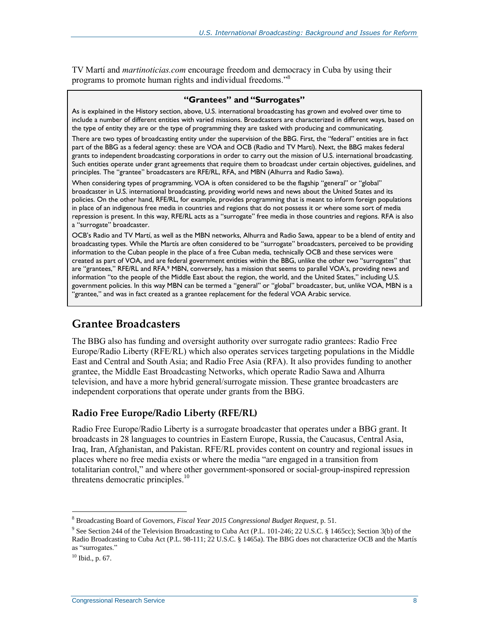TV Martí and *martinoticias.com* encourage freedom and democracy in Cuba by using their programs to promote human rights and individual freedoms."<sup>8</sup>

#### **"Grantees" and "Surrogates"**

As is explained in the History section, above, U.S. international broadcasting has grown and evolved over time to include a number of different entities with varied missions. Broadcasters are characterized in different ways, based on the type of entity they are or the type of programming they are tasked with producing and communicating.

There are two types of broadcasting entity under the supervision of the BBG. First, the "federal" entities are in fact part of the BBG as a federal agency: these are VOA and OCB (Radio and TV Martí). Next, the BBG makes federal grants to independent broadcasting corporations in order to carry out the mission of U.S. international broadcasting. Such entities operate under grant agreements that require them to broadcast under certain objectives, guidelines, and principles. The "grantee" broadcasters are RFE/RL, RFA, and MBN (Alhurra and Radio Sawa).

When considering types of programming, VOA is often considered to be the flagship "general" or "global" broadcaster in U.S. international broadcasting, providing world news and news about the United States and its policies. On the other hand, RFE/RL, for example, provides programming that is meant to inform foreign populations in place of an indigenous free media in countries and regions that do not possess it or where some sort of media repression is present. In this way, RFE/RL acts as a "surrogate" free media in those countries and regions. RFA is also a "surrogate" broadcaster.

OCB's Radio and TV Martí, as well as the MBN networks, Alhurra and Radio Sawa, appear to be a blend of entity and broadcasting types. While the Martís are often considered to be "surrogate" broadcasters, perceived to be providing information to the Cuban people in the place of a free Cuban media, technically OCB and these services were created as part of VOA, and are federal government entities within the BBG, unlike the other two "surrogates" that are "grantees," RFE/RL and RFA.<sup>9</sup> MBN, conversely, has a mission that seems to parallel VOA's, providing news and information "to the people of the Middle East about the region, the world, and the United States," including U.S. government policies. In this way MBN can be termed a "general" or "global" broadcaster, but, unlike VOA, MBN is a "grantee," and was in fact created as a grantee replacement for the federal VOA Arabic service.

### **Grantee Broadcasters**

The BBG also has funding and oversight authority over surrogate radio grantees: Radio Free Europe/Radio Liberty (RFE/RL) which also operates services targeting populations in the Middle East and Central and South Asia; and Radio Free Asia (RFA). It also provides funding to another grantee, the Middle East Broadcasting Networks, which operate Radio Sawa and Alhurra television, and have a more hybrid general/surrogate mission. These grantee broadcasters are independent corporations that operate under grants from the BBG.

#### **Radio Free Europe/Radio Liberty (RFE/RL)**

Radio Free Europe/Radio Liberty is a surrogate broadcaster that operates under a BBG grant. It broadcasts in 28 languages to countries in Eastern Europe, Russia, the Caucasus, Central Asia, Iraq, Iran, Afghanistan, and Pakistan. RFE/RL provides content on country and regional issues in places where no free media exists or where the media "are engaged in a transition from totalitarian control," and where other government-sponsored or social-group-inspired repression threatens democratic principles.<sup>10</sup>

 $\overline{a}$ <sup>8</sup> Broadcasting Board of Governors, *Fiscal Year 2015 Congressional Budget Request*, p. 51.

<sup>&</sup>lt;sup>9</sup> See Section 244 of the Television Broadcasting to Cuba Act (P.L. 101-246; 22 U.S.C. § 1465cc); Section 3(b) of the Radio Broadcasting to Cuba Act (P.L. 98-111; 22 U.S.C. § 1465a). The BBG does not characterize OCB and the Martís as "surrogates."

 $10$  Ibid., p. 67.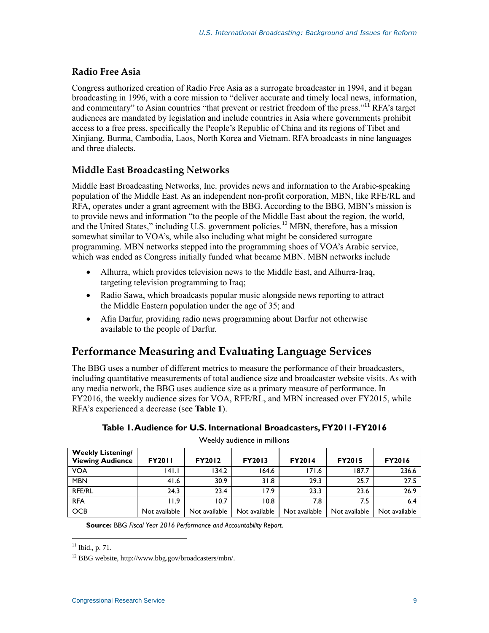#### **Radio Free Asia**

Congress authorized creation of Radio Free Asia as a surrogate broadcaster in 1994, and it began broadcasting in 1996, with a core mission to "deliver accurate and timely local news, information, and commentary" to Asian countries "that prevent or restrict freedom of the press."<sup>11</sup> RFA's target audiences are mandated by legislation and include countries in Asia where governments prohibit access to a free press, specifically the People's Republic of China and its regions of Tibet and Xinjiang, Burma, Cambodia, Laos, North Korea and Vietnam. RFA broadcasts in nine languages and three dialects.

#### **Middle East Broadcasting Networks**

Middle East Broadcasting Networks, Inc. provides news and information to the Arabic-speaking population of the Middle East. As an independent non-profit corporation, MBN, like RFE/RL and RFA, operates under a grant agreement with the BBG. According to the BBG, MBN's mission is to provide news and information "to the people of the Middle East about the region, the world, and the United States," including U.S. government policies.<sup>12</sup> MBN, therefore, has a mission somewhat similar to VOA's, while also including what might be considered surrogate programming. MBN networks stepped into the programming shoes of VOA's Arabic service, which was ended as Congress initially funded what became MBN. MBN networks include

- Alhurra, which provides television news to the Middle East, and Alhurra-Iraq, targeting television programming to Iraq;
- Radio Sawa, which broadcasts popular music alongside news reporting to attract the Middle Eastern population under the age of 35; and
- Afia Darfur, providing radio news programming about Darfur not otherwise available to the people of Darfur.

## **Performance Measuring and Evaluating Language Services**

The BBG uses a number of different metrics to measure the performance of their broadcasters, including quantitative measurements of total audience size and broadcaster website visits. As with any media network, the BBG uses audience size as a primary measure of performance. In FY2016, the weekly audience sizes for VOA, RFE/RL, and MBN increased over FY2015, while RFA's experienced a decrease (see **[Table 1](#page-12-0)**).

<span id="page-12-0"></span>

| <b>THE READER</b> CONTINUES                         |               |               |               |               |               |               |
|-----------------------------------------------------|---------------|---------------|---------------|---------------|---------------|---------------|
| <b>Weekly Listening/</b><br><b>Viewing Audience</b> | <b>FY2011</b> | <b>FY2012</b> | <b>FY2013</b> | <b>FY2014</b> | <b>FY2015</b> | <b>FY2016</b> |
| <b>VOA</b>                                          | 141.1         | 134.2         | 164.6         | 171.6         | 187.7         | 236.6         |
| <b>MBN</b>                                          | 41.6          | 30.9          | 31.8          | 29.3          | 25.7          | 27.5          |
| <b>RFE/RL</b>                                       | 24.3          | 23.4          | 17.9          | 23.3          | 23.6          | 26.9          |
| <b>RFA</b>                                          | 1.9           | 10.7          | 10.8          | 7.8           | 7.5           | 6.4           |
| <b>OCB</b>                                          | Not available | Not available | Not available | Not available | Not available | Not available |

|  |  |  |  | Table 1. Audience for U.S. International Broadcasters, FY2011-FY2016 |  |  |
|--|--|--|--|----------------------------------------------------------------------|--|--|
|--|--|--|--|----------------------------------------------------------------------|--|--|

Weekly audience in millions

**Source:** BBG *Fiscal Year 2016 Performance and Accountability Report*.

 $11$  Ibid., p. 71.

<sup>12</sup> BBG website, http://www.bbg.gov/broadcasters/mbn/.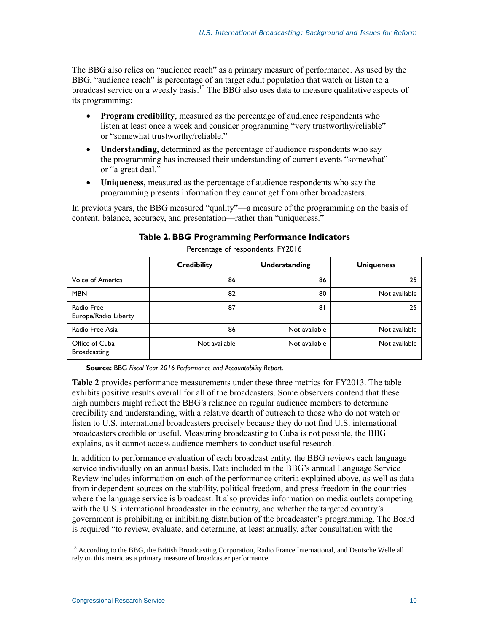The BBG also relies on "audience reach" as a primary measure of performance. As used by the BBG, "audience reach" is percentage of an target adult population that watch or listen to a broadcast service on a weekly basis.<sup>13</sup> The BBG also uses data to measure qualitative aspects of its programming:

- **Program credibility**, measured as the percentage of audience respondents who listen at least once a week and consider programming "very trustworthy/reliable" or "somewhat trustworthy/reliable."
- **Understanding**, determined as the percentage of audience respondents who say the programming has increased their understanding of current events "somewhat" or "a great deal."
- **Uniqueness**, measured as the percentage of audience respondents who say the programming presents information they cannot get from other broadcasters.

<span id="page-13-0"></span>In previous years, the BBG measured "quality"—a measure of the programming on the basis of content, balance, accuracy, and presentation—rather than "uniqueness."

|                                       | <b>Credibility</b> | Understanding | <b>Uniqueness</b> |
|---------------------------------------|--------------------|---------------|-------------------|
| Voice of America                      | 86                 | 86            | 25                |
| <b>MBN</b>                            | 82                 | 80            | Not available     |
| Radio Free<br>Europe/Radio Liberty    | 87                 | 81            | 25                |
| Radio Free Asia                       | 86                 | Not available | Not available     |
| Office of Cuba<br><b>Broadcasting</b> | Not available      | Not available | Not available     |

**Table 2. BBG Programming Performance Indicators** Percentage of respondents, FY2016

**Source:** BBG *Fiscal Year 2016 Performance and Accountability Report*.

**[Table 2](#page-13-0)** provides performance measurements under these three metrics for FY2013. The table exhibits positive results overall for all of the broadcasters. Some observers contend that these high numbers might reflect the BBG's reliance on regular audience members to determine credibility and understanding, with a relative dearth of outreach to those who do not watch or listen to U.S. international broadcasters precisely because they do not find U.S. international broadcasters credible or useful. Measuring broadcasting to Cuba is not possible, the BBG explains, as it cannot access audience members to conduct useful research.

In addition to performance evaluation of each broadcast entity, the BBG reviews each language service individually on an annual basis. Data included in the BBG's annual Language Service Review includes information on each of the performance criteria explained above, as well as data from independent sources on the stability, political freedom, and press freedom in the countries where the language service is broadcast. It also provides information on media outlets competing with the U.S. international broadcaster in the country, and whether the targeted country's government is prohibiting or inhibiting distribution of the broadcaster's programming. The Board is required "to review, evaluate, and determine, at least annually, after consultation with the

<sup>&</sup>lt;sup>13</sup> According to the BBG, the British Broadcasting Corporation, Radio France International, and Deutsche Welle all rely on this metric as a primary measure of broadcaster performance.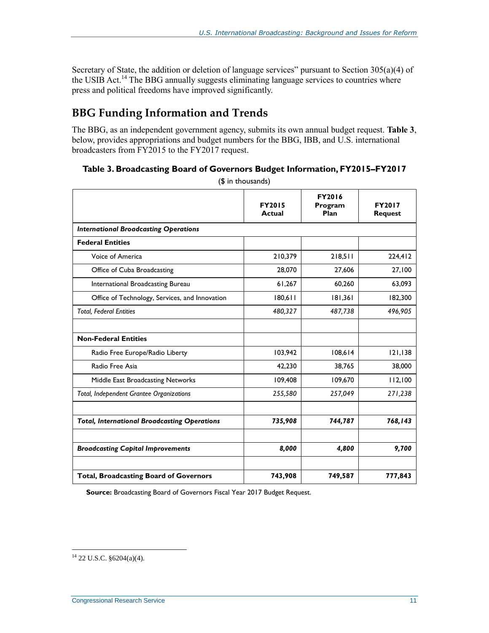Secretary of State, the addition or deletion of language services" pursuant to Section 305(a)(4) of the USIB Act.<sup>14</sup> The BBG annually suggests eliminating language services to countries where press and political freedoms have improved significantly.

# **BBG Funding Information and Trends**

The BBG, as an independent government agency, submits its own annual budget request. **[Table 3](#page-14-0)**, below, provides appropriations and budget numbers for the BBG, IBB, and U.S. international broadcasters from FY2015 to the FY2017 request.

#### <span id="page-14-0"></span>**Table 3. Broadcasting Board of Governors Budget Information, FY2015–FY2017**

|                                                     | <b>FY2015</b><br><b>Actual</b> | <b>FY2016</b><br>Program<br>Plan | <b>FY2017</b><br><b>Request</b> |
|-----------------------------------------------------|--------------------------------|----------------------------------|---------------------------------|
| <b>International Broadcasting Operations</b>        |                                |                                  |                                 |
| <b>Federal Entities</b>                             |                                |                                  |                                 |
| Voice of America                                    | 210,379                        | 218,511                          | 224,412                         |
| Office of Cuba Broadcasting                         | 28,070                         | 27,606                           | 27,100                          |
| International Broadcasting Bureau                   | 61,267                         | 60,260                           | 63,093                          |
| Office of Technology, Services, and Innovation      | 180,611                        | 181,361                          | 182,300                         |
| <b>Total, Federal Entities</b>                      | 480,327                        | 487,738                          | 496,905                         |
|                                                     |                                |                                  |                                 |
| <b>Non-Federal Entities</b>                         |                                |                                  |                                 |
| Radio Free Europe/Radio Liberty                     | 103,942                        | 108,614                          | 121,138                         |
| Radio Free Asia                                     | 42,230                         | 38,765                           | 38,000                          |
| Middle East Broadcasting Networks                   | 109,408                        | 109,670                          | 112,100                         |
| Total, Independent Grantee Organizations            | 255,580                        | 257,049                          | 271,238                         |
|                                                     |                                |                                  |                                 |
| <b>Total, International Broadcasting Operations</b> | 735,908                        | 744,787                          | 768,143                         |
|                                                     |                                |                                  |                                 |
| <b>Broadcasting Capital Improvements</b>            | 8,000                          | 4,800                            | 9,700                           |
|                                                     |                                |                                  |                                 |
| <b>Total, Broadcasting Board of Governors</b>       | 743,908                        | 749,587                          | 777,843                         |

(\$ in thousands)

**Source:** Broadcasting Board of Governors Fiscal Year 2017 Budget Request.

 $14$  22 U.S.C. §6204(a)(4).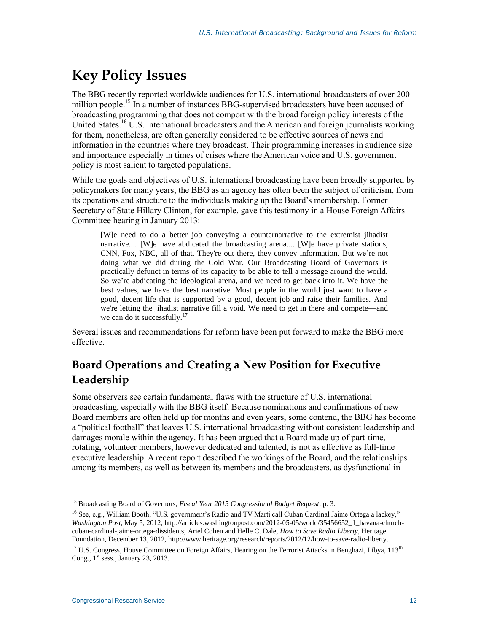# **Key Policy Issues**

The BBG recently reported worldwide audiences for U.S. international broadcasters of over 200 million people.<sup>15</sup> In a number of instances BBG-supervised broadcasters have been accused of broadcasting programming that does not comport with the broad foreign policy interests of the United States.<sup>16</sup> U.S. international broadcasters and the American and foreign journalists working for them, nonetheless, are often generally considered to be effective sources of news and information in the countries where they broadcast. Their programming increases in audience size and importance especially in times of crises where the American voice and U.S. government policy is most salient to targeted populations.

While the goals and objectives of U.S. international broadcasting have been broadly supported by policymakers for many years, the BBG as an agency has often been the subject of criticism, from its operations and structure to the individuals making up the Board's membership. Former Secretary of State Hillary Clinton, for example, gave this testimony in a House Foreign Affairs Committee hearing in January 2013:

[W]e need to do a better job conveying a counternarrative to the extremist jihadist narrative.... [W]e have abdicated the broadcasting arena.... [W]e have private stations, CNN, Fox, NBC, all of that. They're out there, they convey information. But we're not doing what we did during the Cold War. Our Broadcasting Board of Governors is practically defunct in terms of its capacity to be able to tell a message around the world. So we're abdicating the ideological arena, and we need to get back into it. We have the best values, we have the best narrative. Most people in the world just want to have a good, decent life that is supported by a good, decent job and raise their families. And we're letting the jihadist narrative fill a void. We need to get in there and compete—and we can do it successfully.<sup>17</sup>

Several issues and recommendations for reform have been put forward to make the BBG more effective.

# **Board Operations and Creating a New Position for Executive Leadership**

Some observers see certain fundamental flaws with the structure of U.S. international broadcasting, especially with the BBG itself. Because nominations and confirmations of new Board members are often held up for months and even years, some contend, the BBG has become a "political football" that leaves U.S. international broadcasting without consistent leadership and damages morale within the agency. It has been argued that a Board made up of part-time, rotating, volunteer members, however dedicated and talented, is not as effective as full-time executive leadership. A recent report described the workings of the Board, and the relationships among its members, as well as between its members and the broadcasters, as dysfunctional in

<sup>15</sup> Broadcasting Board of Governors, *Fiscal Year 2015 Congressional Budget Request*, p. 3.

<sup>&</sup>lt;sup>16</sup> See, e.g., William Booth, "U.S. government's Radio and TV Marti call Cuban Cardinal Jaime Ortega a lackey," *Washington Post*, May 5, 2012, http://articles.washingtonpost.com/2012-05-05/world/35456652\_1\_havana-churchcuban-cardinal-jaime-ortega-dissidents; Ariel Cohen and Helle C. Dale, *How to Save Radio Liberty*, Heritage Foundation, December 13, 2012, http://www.heritage.org/research/reports/2012/12/how-to-save-radio-liberty.

<sup>&</sup>lt;sup>17</sup> U.S. Congress, House Committee on Foreign Affairs, Hearing on the Terrorist Attacks in Benghazi, Libya, 113<sup>th</sup> Cong.,  $1<sup>st</sup>$  sess., January 23, 2013.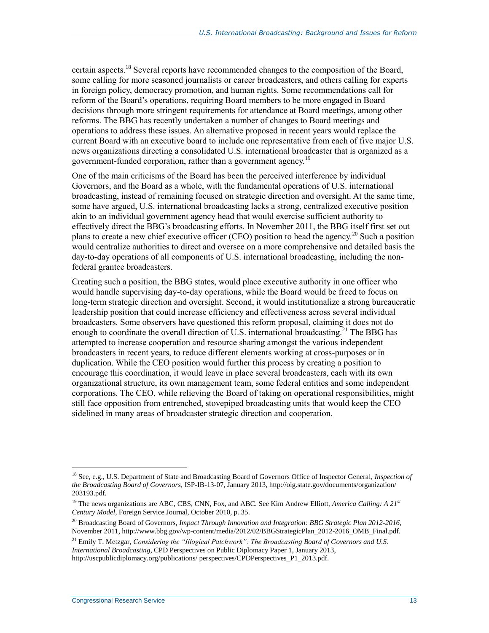certain aspects.<sup>18</sup> Several reports have recommended changes to the composition of the Board, some calling for more seasoned journalists or career broadcasters, and others calling for experts in foreign policy, democracy promotion, and human rights. Some recommendations call for reform of the Board's operations, requiring Board members to be more engaged in Board decisions through more stringent requirements for attendance at Board meetings, among other reforms. The BBG has recently undertaken a number of changes to Board meetings and operations to address these issues. An alternative proposed in recent years would replace the current Board with an executive board to include one representative from each of five major U.S. news organizations directing a consolidated U.S. international broadcaster that is organized as a government-funded corporation, rather than a government agency.<sup>19</sup>

One of the main criticisms of the Board has been the perceived interference by individual Governors, and the Board as a whole, with the fundamental operations of U.S. international broadcasting, instead of remaining focused on strategic direction and oversight. At the same time, some have argued, U.S. international broadcasting lacks a strong, centralized executive position akin to an individual government agency head that would exercise sufficient authority to effectively direct the BBG's broadcasting efforts. In November 2011, the BBG itself first set out plans to create a new chief executive officer (CEO) position to head the agency.<sup>20</sup> Such a position would centralize authorities to direct and oversee on a more comprehensive and detailed basis the day-to-day operations of all components of U.S. international broadcasting, including the nonfederal grantee broadcasters.

Creating such a position, the BBG states, would place executive authority in one officer who would handle supervising day-to-day operations, while the Board would be freed to focus on long-term strategic direction and oversight. Second, it would institutionalize a strong bureaucratic leadership position that could increase efficiency and effectiveness across several individual broadcasters. Some observers have questioned this reform proposal, claiming it does not do enough to coordinate the overall direction of U.S. international broadcasting.<sup>21</sup> The BBG has attempted to increase cooperation and resource sharing amongst the various independent broadcasters in recent years, to reduce different elements working at cross-purposes or in duplication. While the CEO position would further this process by creating a position to encourage this coordination, it would leave in place several broadcasters, each with its own organizational structure, its own management team, some federal entities and some independent corporations. The CEO, while relieving the Board of taking on operational responsibilities, might still face opposition from entrenched, stovepiped broadcasting units that would keep the CEO sidelined in many areas of broadcaster strategic direction and cooperation.

 $\overline{a}$ <sup>18</sup> See, e.g., U.S. Department of State and Broadcasting Board of Governors Office of Inspector General, *Inspection of the Broadcasting Board of Governors*, ISP-IB-13-07, January 2013, http://oig.state.gov/documents/organization/ 203193.pdf.

<sup>19</sup> The news organizations are ABC, CBS, CNN, Fox, and ABC. See Kim Andrew Elliott, *America Calling: A 21st Century Model*, Foreign Service Journal, October 2010, p. 35.

<sup>20</sup> Broadcasting Board of Governors, *Impact Through Innovation and Integration: BBG Strategic Plan 2012-2016*, November 2011, http://www.bbg.gov/wp-content/media/2012/02/BBGStrategicPlan\_2012-2016\_OMB\_Final.pdf.

<sup>21</sup> Emily T. Metzgar, *Considering the "Illogical Patchwork": The Broadcasting Board of Governors and U.S. International Broadcasting*, CPD Perspectives on Public Diplomacy Paper 1, January 2013, http://uscpublicdiplomacy.org/publications/ perspectives/CPDPerspectives\_P1\_2013.pdf.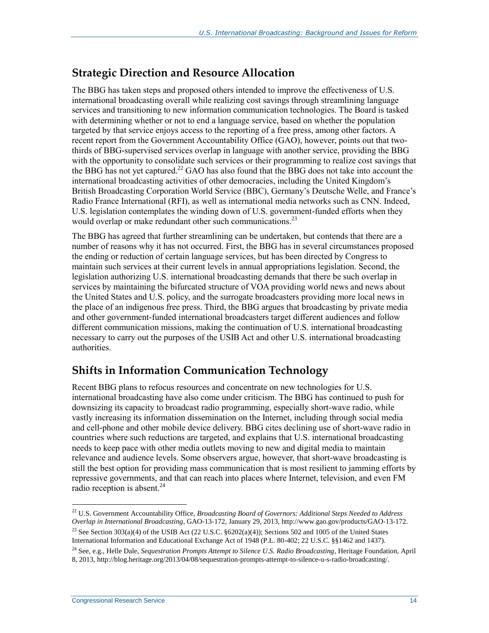## **Strategic Direction and Resource Allocation**

The BBG has taken steps and proposed others intended to improve the effectiveness of U.S. international broadcasting overall while realizing cost savings through streamlining language services and transitioning to new information communication technologies. The Board is tasked with determining whether or not to end a language service, based on whether the population targeted by that service enjoys access to the reporting of a free press, among other factors. A recent report from the Government Accountability Office (GAO), however, points out that twothirds of BBG-supervised services overlap in language with another service, providing the BBG with the opportunity to consolidate such services or their programming to realize cost savings that the BBG has not yet captured. $22$  GAO has also found that the BBG does not take into account the international broadcasting activities of other democracies, including the United Kingdom's British Broadcasting Corporation World Service (BBC), Germany's Deutsche Welle, and France's Radio France International (RFI), as well as international media networks such as CNN. Indeed, U.S. legislation contemplates the winding down of U.S. government-funded efforts when they would overlap or make redundant other such communications.<sup>23</sup>

The BBG has agreed that further streamlining can be undertaken, but contends that there are a number of reasons why it has not occurred. First, the BBG has in several circumstances proposed the ending or reduction of certain language services, but has been directed by Congress to maintain such services at their current levels in annual appropriations legislation. Second, the legislation authorizing U.S. international broadcasting demands that there be such overlap in services by maintaining the bifurcated structure of VOA providing world news and news about the United States and U.S. policy, and the surrogate broadcasters providing more local news in the place of an indigenous free press. Third, the BBG argues that broadcasting by private media and other government-funded international broadcasters target different audiences and follow different communication missions, making the continuation of U.S. international broadcasting necessary to carry out the purposes of the USIB Act and other U.S. international broadcasting authorities.

## **Shifts in Information Communication Technology**

Recent BBG plans to refocus resources and concentrate on new technologies for U.S. international broadcasting have also come under criticism. The BBG has continued to push for downsizing its capacity to broadcast radio programming, especially short-wave radio, while vastly increasing its information dissemination on the Internet, including through social media and cell-phone and other mobile device delivery. BBG cites declining use of short-wave radio in countries where such reductions are targeted, and explains that U.S. international broadcasting needs to keep pace with other media outlets moving to new and digital media to maintain relevance and audience levels. Some observers argue, however, that short-wave broadcasting is still the best option for providing mass communication that is most resilient to jamming efforts by repressive governments, and that can reach into places where Internet, television, and even FM radio reception is absent.<sup>24</sup>

<sup>22</sup> U.S. Government Accountability Office, *Broadcasting Board of Governors: Additional Steps Needed to Address Overlap in International Broadcasting*, GAO-13-172, January 29, 2013, http://www.gao.gov/products/GAO-13-172.

<sup>&</sup>lt;sup>23</sup> See Section 303(a)(4) of the USIB Act (22 U.S.C.  $\S6202(a)(4)$ ); Sections 502 and 1005 of the United States International Information and Educational Exchange Act of 1948 (P.L. 80-402; 22 U.S.C. §§1462 and 1437).

<sup>24</sup> See, e.g., Helle Dale, *Sequestration Prompts Attempt to Silence U.S. Radio Broadcasting*, Heritage Foundation, April 8, 2013, http://blog.heritage.org/2013/04/08/sequestration-prompts-attempt-to-silence-u-s-radio-broadcasting/.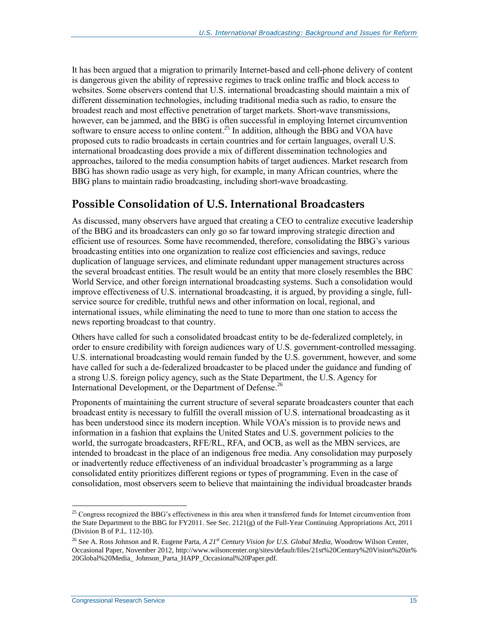It has been argued that a migration to primarily Internet-based and cell-phone delivery of content is dangerous given the ability of repressive regimes to track online traffic and block access to websites. Some observers contend that U.S. international broadcasting should maintain a mix of different dissemination technologies, including traditional media such as radio, to ensure the broadest reach and most effective penetration of target markets. Short-wave transmissions, however, can be jammed, and the BBG is often successful in employing Internet circumvention software to ensure access to online content.<sup>25</sup> In addition, although the BBG and VOA have proposed cuts to radio broadcasts in certain countries and for certain languages, overall U.S. international broadcasting does provide a mix of different dissemination technologies and approaches, tailored to the media consumption habits of target audiences. Market research from BBG has shown radio usage as very high, for example, in many African countries, where the BBG plans to maintain radio broadcasting, including short-wave broadcasting.

## **Possible Consolidation of U.S. International Broadcasters**

As discussed, many observers have argued that creating a CEO to centralize executive leadership of the BBG and its broadcasters can only go so far toward improving strategic direction and efficient use of resources. Some have recommended, therefore, consolidating the BBG's various broadcasting entities into one organization to realize cost efficiencies and savings, reduce duplication of language services, and eliminate redundant upper management structures across the several broadcast entities. The result would be an entity that more closely resembles the BBC World Service, and other foreign international broadcasting systems. Such a consolidation would improve effectiveness of U.S. international broadcasting, it is argued, by providing a single, fullservice source for credible, truthful news and other information on local, regional, and international issues, while eliminating the need to tune to more than one station to access the news reporting broadcast to that country.

Others have called for such a consolidated broadcast entity to be de-federalized completely, in order to ensure credibility with foreign audiences wary of U.S. government-controlled messaging. U.S. international broadcasting would remain funded by the U.S. government, however, and some have called for such a de-federalized broadcaster to be placed under the guidance and funding of a strong U.S. foreign policy agency, such as the State Department, the U.S. Agency for International Development, or the Department of Defense.<sup>26</sup>

Proponents of maintaining the current structure of several separate broadcasters counter that each broadcast entity is necessary to fulfill the overall mission of U.S. international broadcasting as it has been understood since its modern inception. While VOA's mission is to provide news and information in a fashion that explains the United States and U.S. government policies to the world, the surrogate broadcasters, RFE/RL, RFA, and OCB, as well as the MBN services, are intended to broadcast in the place of an indigenous free media. Any consolidation may purposely or inadvertently reduce effectiveness of an individual broadcaster's programming as a large consolidated entity prioritizes different regions or types of programming. Even in the case of consolidation, most observers seem to believe that maintaining the individual broadcaster brands

 $^{25}$  Congress recognized the BBG's effectiveness in this area when it transferred funds for Internet circumvention from the State Department to the BBG for FY2011. See Sec. 2121(g) of the Full-Year Continuing Appropriations Act, 2011 (Division B of P.L. 112-10).

<sup>26</sup> See A. Ross Johnson and R. Eugene Parta, *A 21st Century Vision for U.S. Global Media*, Woodrow Wilson Center, Occasional Paper, November 2012, http://www.wilsoncenter.org/sites/default/files/21st%20Century%20Vision%20in% 20Global%20Media\_ Johnson\_Parta\_HAPP\_Occasional%20Paper.pdf.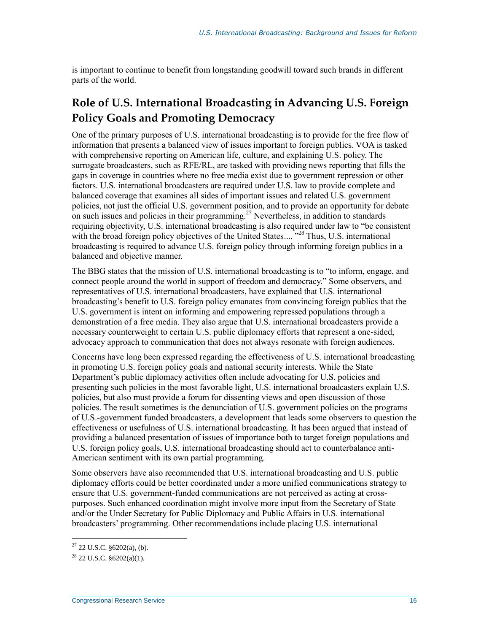is important to continue to benefit from longstanding goodwill toward such brands in different parts of the world.

# **Role of U.S. International Broadcasting in Advancing U.S. Foreign Policy Goals and Promoting Democracy**

One of the primary purposes of U.S. international broadcasting is to provide for the free flow of information that presents a balanced view of issues important to foreign publics. VOA is tasked with comprehensive reporting on American life, culture, and explaining U.S. policy. The surrogate broadcasters, such as RFE/RL, are tasked with providing news reporting that fills the gaps in coverage in countries where no free media exist due to government repression or other factors. U.S. international broadcasters are required under U.S. law to provide complete and balanced coverage that examines all sides of important issues and related U.S. government policies, not just the official U.S. government position, and to provide an opportunity for debate on such issues and policies in their programming.<sup>27</sup> Nevertheless, in addition to standards requiring objectivity, U.S. international broadcasting is also required under law to "be consistent with the broad foreign policy objectives of the United States....<sup>728</sup> Thus, U.S. international broadcasting is required to advance U.S. foreign policy through informing foreign publics in a balanced and objective manner.

The BBG states that the mission of U.S. international broadcasting is to "to inform, engage, and connect people around the world in support of freedom and democracy." Some observers, and representatives of U.S. international broadcasters, have explained that U.S. international broadcasting's benefit to U.S. foreign policy emanates from convincing foreign publics that the U.S. government is intent on informing and empowering repressed populations through a demonstration of a free media. They also argue that U.S. international broadcasters provide a necessary counterweight to certain U.S. public diplomacy efforts that represent a one-sided, advocacy approach to communication that does not always resonate with foreign audiences.

Concerns have long been expressed regarding the effectiveness of U.S. international broadcasting in promoting U.S. foreign policy goals and national security interests. While the State Department's public diplomacy activities often include advocating for U.S. policies and presenting such policies in the most favorable light, U.S. international broadcasters explain U.S. policies, but also must provide a forum for dissenting views and open discussion of those policies. The result sometimes is the denunciation of U.S. government policies on the programs of U.S.-government funded broadcasters, a development that leads some observers to question the effectiveness or usefulness of U.S. international broadcasting. It has been argued that instead of providing a balanced presentation of issues of importance both to target foreign populations and U.S. foreign policy goals, U.S. international broadcasting should act to counterbalance anti-American sentiment with its own partial programming.

Some observers have also recommended that U.S. international broadcasting and U.S. public diplomacy efforts could be better coordinated under a more unified communications strategy to ensure that U.S. government-funded communications are not perceived as acting at crosspurposes. Such enhanced coordination might involve more input from the Secretary of State and/or the Under Secretary for Public Diplomacy and Public Affairs in U.S. international broadcasters' programming. Other recommendations include placing U.S. international

 $27$  22 U.S.C. §6202(a), (b).

 $^{28}$  22 U.S.C.  $$6202(a)(1)$ .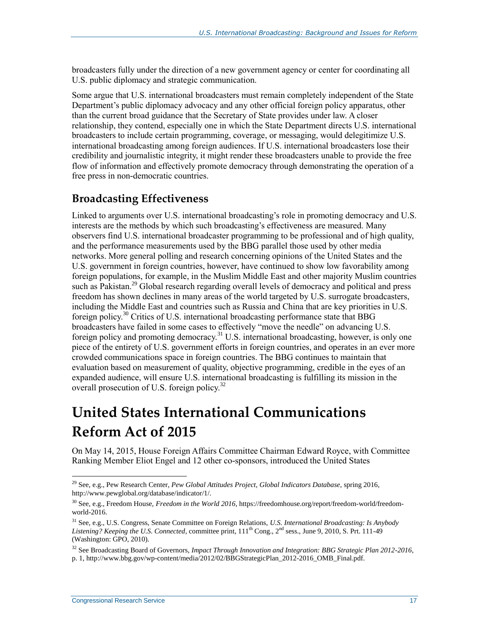broadcasters fully under the direction of a new government agency or center for coordinating all U.S. public diplomacy and strategic communication.

Some argue that U.S. international broadcasters must remain completely independent of the State Department's public diplomacy advocacy and any other official foreign policy apparatus, other than the current broad guidance that the Secretary of State provides under law. A closer relationship, they contend, especially one in which the State Department directs U.S. international broadcasters to include certain programming, coverage, or messaging, would delegitimize U.S. international broadcasting among foreign audiences. If U.S. international broadcasters lose their credibility and journalistic integrity, it might render these broadcasters unable to provide the free flow of information and effectively promote democracy through demonstrating the operation of a free press in non-democratic countries.

### **Broadcasting Effectiveness**

Linked to arguments over U.S. international broadcasting's role in promoting democracy and U.S. interests are the methods by which such broadcasting's effectiveness are measured. Many observers find U.S. international broadcaster programming to be professional and of high quality, and the performance measurements used by the BBG parallel those used by other media networks. More general polling and research concerning opinions of the United States and the U.S. government in foreign countries, however, have continued to show low favorability among foreign populations, for example, in the Muslim Middle East and other majority Muslim countries such as Pakistan.<sup>29</sup> Global research regarding overall levels of democracy and political and press freedom has shown declines in many areas of the world targeted by U.S. surrogate broadcasters, including the Middle East and countries such as Russia and China that are key priorities in U.S. foreign policy.<sup>30</sup> Critics of U.S. international broadcasting performance state that BBG broadcasters have failed in some cases to effectively "move the needle" on advancing U.S. foreign policy and promoting democracy.<sup>31</sup> U.S. international broadcasting, however, is only one piece of the entirety of U.S. government efforts in foreign countries, and operates in an ever more crowded communications space in foreign countries. The BBG continues to maintain that evaluation based on measurement of quality, objective programming, credible in the eyes of an expanded audience, will ensure U.S. international broadcasting is fulfilling its mission in the overall prosecution of U.S. foreign policy.<sup>32</sup>

# **United States International Communications Reform Act of 2015**

On May 14, 2015, House Foreign Affairs Committee Chairman Edward Royce, with Committee Ranking Member Eliot Engel and 12 other co-sponsors, introduced the United States

<sup>29</sup> See, e.g., Pew Research Center, *Pew Global Attitudes Project, Global Indicators Database*, spring 2016, http://www.pewglobal.org/database/indicator/1/.

<sup>30</sup> See, e.g., Freedom House, *Freedom in the World 2016*, https://freedomhouse.org/report/freedom-world/freedomworld-2016.

<sup>31</sup> See, e.g., U.S. Congress, Senate Committee on Foreign Relations, *U.S. International Broadcasting: Is Anybody*  Listening? Keeping the U.S. Connected, committee print,  $111<sup>th</sup>$  Cong., 2<sup>nd</sup> sess., June 9, 2010, S. Prt. 111-49 (Washington: GPO, 2010).

<sup>32</sup> See Broadcasting Board of Governors, *Impact Through Innovation and Integration: BBG Strategic Plan 2012-2016*, p. 1, http://www.bbg.gov/wp-content/media/2012/02/BBGStrategicPlan\_2012-2016\_OMB\_Final.pdf.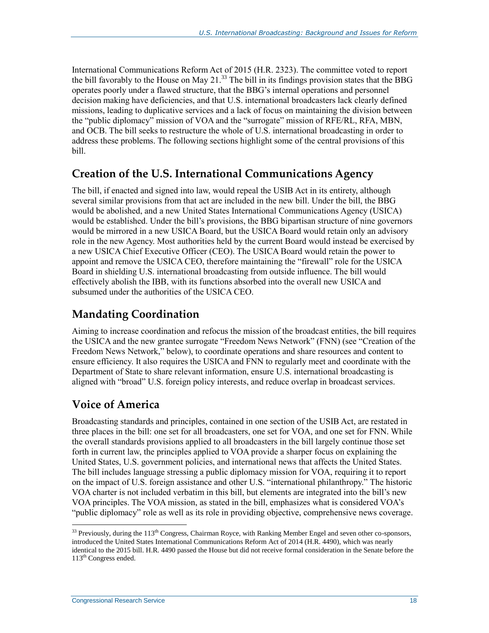International Communications Reform Act of 2015 [\(H.R. 2323\)](http://www.congress.gov/cgi-lis/bdquery/z?d114:H.R.2323:). The committee voted to report the bill favorably to the House on May 21.<sup>33</sup> The bill in its findings provision states that the BBG operates poorly under a flawed structure, that the BBG's internal operations and personnel decision making have deficiencies, and that U.S. international broadcasters lack clearly defined missions, leading to duplicative services and a lack of focus on maintaining the division between the "public diplomacy" mission of VOA and the "surrogate" mission of RFE/RL, RFA, MBN, and OCB. The bill seeks to restructure the whole of U.S. international broadcasting in order to address these problems. The following sections highlight some of the central provisions of this bill.

### **Creation of the U.S. International Communications Agency**

The bill, if enacted and signed into law, would repeal the USIB Act in its entirety, although several similar provisions from that act are included in the new bill. Under the bill, the BBG would be abolished, and a new United States International Communications Agency (USICA) would be established. Under the bill's provisions, the BBG bipartisan structure of nine governors would be mirrored in a new USICA Board, but the USICA Board would retain only an advisory role in the new Agency. Most authorities held by the current Board would instead be exercised by a new USICA Chief Executive Officer (CEO). The USICA Board would retain the power to appoint and remove the USICA CEO, therefore maintaining the "firewall" role for the USICA Board in shielding U.S. international broadcasting from outside influence. The bill would effectively abolish the IBB, with its functions absorbed into the overall new USICA and subsumed under the authorities of the USICA CEO.

# **Mandating Coordination**

Aiming to increase coordination and refocus the mission of the broadcast entities, the bill requires the USICA and the new grantee surrogate "Freedom News Network" (FNN) (see "Creation of the Freedom News Network," below), to coordinate operations and share resources and content to ensure efficiency. It also requires the USICA and FNN to regularly meet and coordinate with the Department of State to share relevant information, ensure U.S. international broadcasting is aligned with "broad" U.S. foreign policy interests, and reduce overlap in broadcast services.

### **Voice of America**

Broadcasting standards and principles, contained in one section of the USIB Act, are restated in three places in the bill: one set for all broadcasters, one set for VOA, and one set for FNN. While the overall standards provisions applied to all broadcasters in the bill largely continue those set forth in current law, the principles applied to VOA provide a sharper focus on explaining the United States, U.S. government policies, and international news that affects the United States. The bill includes language stressing a public diplomacy mission for VOA, requiring it to report on the impact of U.S. foreign assistance and other U.S. "international philanthropy." The historic VOA charter is not included verbatim in this bill, but elements are integrated into the bill's new VOA principles. The VOA mission, as stated in the bill, emphasizes what is considered VOA's "public diplomacy" role as well as its role in providing objective, comprehensive news coverage.

 $33$  Previously, during the  $113<sup>th</sup>$  Congress, Chairman Royce, with Ranking Member Engel and seven other co-sponsors, introduced the United States International Communications Reform Act of 2014 (H.R. 4490), which was nearly identical to the 2015 bill. H.R. 4490 passed the House but did not receive formal consideration in the Senate before the 113<sup>th</sup> Congress ended.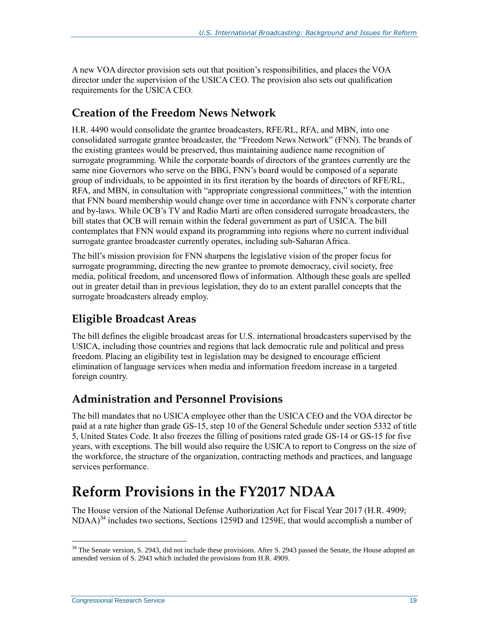A new VOA director provision sets out that position's responsibilities, and places the VOA director under the supervision of the USICA CEO. The provision also sets out qualification requirements for the USICA CEO.

### **Creation of the Freedom News Network**

H.R. 4490 would consolidate the grantee broadcasters, RFE/RL, RFA, and MBN, into one consolidated surrogate grantee broadcaster, the "Freedom News Network" (FNN). The brands of the existing grantees would be preserved, thus maintaining audience name recognition of surrogate programming. While the corporate boards of directors of the grantees currently are the same nine Governors who serve on the BBG, FNN's board would be composed of a separate group of individuals, to be appointed in its first iteration by the boards of directors of RFE/RL, RFA, and MBN, in consultation with "appropriate congressional committees," with the intention that FNN board membership would change over time in accordance with FNN's corporate charter and by-laws. While OCB's TV and Radio Martí are often considered surrogate broadcasters, the bill states that OCB will remain within the federal government as part of USICA. The bill contemplates that FNN would expand its programming into regions where no current individual surrogate grantee broadcaster currently operates, including sub-Saharan Africa.

The bill's mission provision for FNN sharpens the legislative vision of the proper focus for surrogate programming, directing the new grantee to promote democracy, civil society, free media, political freedom, and uncensored flows of information. Although these goals are spelled out in greater detail than in previous legislation, they do to an extent parallel concepts that the surrogate broadcasters already employ.

### **Eligible Broadcast Areas**

The bill defines the eligible broadcast areas for U.S. international broadcasters supervised by the USICA, including those countries and regions that lack democratic rule and political and press freedom. Placing an eligibility test in legislation may be designed to encourage efficient elimination of language services when media and information freedom increase in a targeted foreign country.

## **Administration and Personnel Provisions**

The bill mandates that no USICA employee other than the USICA CEO and the VOA director be paid at a rate higher than grade GS-15, step 10 of the General Schedule under section 5332 of title 5, United States Code. It also freezes the filling of positions rated grade GS-14 or GS-15 for five years, with exceptions. The bill would also require the USICA to report to Congress on the size of the workforce, the structure of the organization, contracting methods and practices, and language services performance.

# **Reform Provisions in the FY2017 NDAA**

The House version of the National Defense Authorization Act for Fiscal Year 2017 [\(H.R. 4909;](http://www.congress.gov/cgi-lis/bdquery/z?d114:H.R.4909:)  $NDAA$ <sup>34</sup> includes two sections, Sections 1259D and 1259E, that would accomplish a number of

 $34$  The Senate version, S. 2943, did not include these provisions. After S. 2943 passed the Senate, the House adopted an amended version of S. 2943 which included the provisions from H.R. 4909.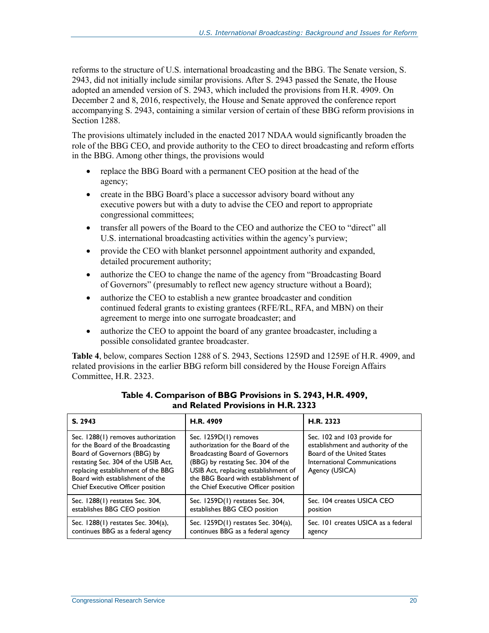reforms to the structure of U.S. international broadcasting and the BBG. The Senate version, S. 2943, did not initially include similar provisions. After [S. 2943](http://www.congress.gov/cgi-lis/bdquery/z?d114:S.2943:) passed the Senate, the House adopted an amended version of S. 2943, which included the provisions from [H.R. 4909.](http://www.congress.gov/cgi-lis/bdquery/z?d114:H.R.4909:) On December 2 and 8, 2016, respectively, the House and Senate approved the conference report accompanying S. 2943, containing a similar version of certain of these BBG reform provisions in Section 1288.

The provisions ultimately included in the enacted 2017 NDAA would significantly broaden the role of the BBG CEO, and provide authority to the CEO to direct broadcasting and reform efforts in the BBG. Among other things, the provisions would

- replace the BBG Board with a permanent CEO position at the head of the agency;
- create in the BBG Board's place a successor advisory board without any executive powers but with a duty to advise the CEO and report to appropriate congressional committees;
- transfer all powers of the Board to the CEO and authorize the CEO to "direct" all U.S. international broadcasting activities within the agency's purview;
- provide the CEO with blanket personnel appointment authority and expanded, detailed procurement authority;
- authorize the CEO to change the name of the agency from "Broadcasting Board" of Governors" (presumably to reflect new agency structure without a Board);
- authorize the CEO to establish a new grantee broadcaster and condition continued federal grants to existing grantees (RFE/RL, RFA, and MBN) on their agreement to merge into one surrogate broadcaster; and
- authorize the CEO to appoint the board of any grantee broadcaster, including a possible consolidated grantee broadcaster.

**[Table 4](#page-23-0)**, below, compares Section 1288 of [S. 2943,](http://www.congress.gov/cgi-lis/bdquery/z?d114:S.2943:) Sections 1259D and 1259E of H.R. 4909, and related provisions in the earlier BBG reform bill considered by the House Foreign Affairs Committee, [H.R. 2323.](http://www.congress.gov/cgi-lis/bdquery/z?d114:H.R.2323:)

<span id="page-23-0"></span>

| S. 2943                                                                                                                                                                                                                                                    | H.R. 4909                                                                                                                                                                                                                                                          | H.R. 2323                                                                                                                                          |
|------------------------------------------------------------------------------------------------------------------------------------------------------------------------------------------------------------------------------------------------------------|--------------------------------------------------------------------------------------------------------------------------------------------------------------------------------------------------------------------------------------------------------------------|----------------------------------------------------------------------------------------------------------------------------------------------------|
| Sec. 1288(1) removes authorization<br>for the Board of the Broadcasting<br>Board of Governors (BBG) by<br>restating Sec. 304 of the USIB Act,<br>replacing establishment of the BBG<br>Board with establishment of the<br>Chief Executive Officer position | Sec. 1259D(1) removes<br>authorization for the Board of the<br><b>Broadcasting Board of Governors</b><br>(BBG) by restating Sec. 304 of the<br>USIB Act, replacing establishment of<br>the BBG Board with establishment of<br>the Chief Executive Officer position | Sec. 102 and 103 provide for<br>establishment and authority of the<br>Board of the United States<br>International Communications<br>Agency (USICA) |
| Sec. 1288(1) restates Sec. 304,                                                                                                                                                                                                                            | Sec. 1259D(1) restates Sec. 304,                                                                                                                                                                                                                                   | Sec. 104 creates USICA CEO                                                                                                                         |
| establishes BBG CEO position                                                                                                                                                                                                                               | establishes BBG CEO position                                                                                                                                                                                                                                       | position                                                                                                                                           |
| Sec. 1288(1) restates Sec. 304(a),                                                                                                                                                                                                                         | Sec. 1259D(1) restates Sec. 304(a),                                                                                                                                                                                                                                | Sec. 101 creates USICA as a federal                                                                                                                |
| continues BBG as a federal agency                                                                                                                                                                                                                          | continues BBG as a federal agency                                                                                                                                                                                                                                  | agency                                                                                                                                             |

#### **Table 4. Comparison of BBG Provisions in S. 2943[, H.R. 4909,](http://www.congress.gov/cgi-lis/bdquery/z?d114:H.R.4909:) and Related Provisions in H.R. 2323**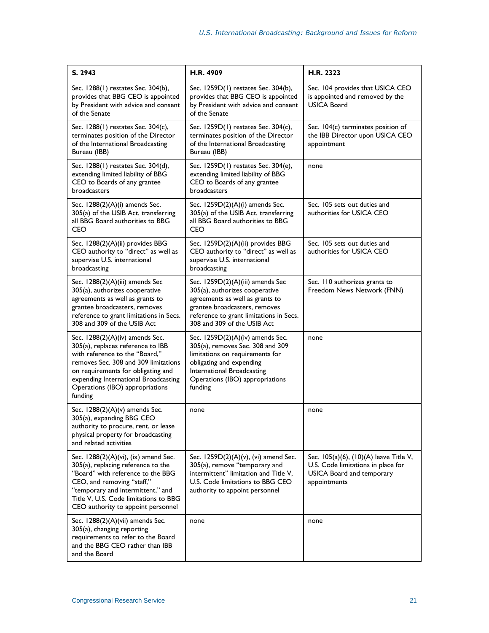| S. 2943                                                                                                                                                                                                                                                                    | H.R. 4909                                                                                                                                                                                                         | H.R. 2323                                                                                                                        |
|----------------------------------------------------------------------------------------------------------------------------------------------------------------------------------------------------------------------------------------------------------------------------|-------------------------------------------------------------------------------------------------------------------------------------------------------------------------------------------------------------------|----------------------------------------------------------------------------------------------------------------------------------|
| Sec. 1288(1) restates Sec. 304(b),<br>provides that BBG CEO is appointed<br>by President with advice and consent<br>of the Senate                                                                                                                                          | Sec. 1259D(1) restates Sec. 304(b),<br>provides that BBG CEO is appointed<br>by President with advice and consent<br>of the Senate                                                                                | Sec. 104 provides that USICA CEO<br>is appointed and removed by the<br><b>USICA Board</b>                                        |
| Sec. 1288(1) restates Sec. 304(c),<br>terminates position of the Director<br>of the International Broadcasting<br>Bureau (IBB)                                                                                                                                             | Sec. 1259D(1) restates Sec. 304(c),<br>terminates position of the Director<br>of the International Broadcasting<br>Bureau (IBB)                                                                                   | Sec. 104(c) terminates position of<br>the IBB Director upon USICA CEO<br>appointment                                             |
| Sec. 1288(1) restates Sec. 304(d),<br>extending limited liability of BBG<br>CEO to Boards of any grantee<br>broadcasters                                                                                                                                                   | Sec. 1259D(1) restates Sec. 304(e),<br>extending limited liability of BBG<br>CEO to Boards of any grantee<br>broadcasters                                                                                         | none                                                                                                                             |
| Sec. $1288(2)(A)(i)$ amends Sec.<br>305(a) of the USIB Act, transferring<br>all BBG Board authorities to BBG<br><b>CEO</b>                                                                                                                                                 | Sec. $1259D(2)(A)(i)$ amends Sec.<br>305(a) of the USIB Act, transferring<br>all BBG Board authorities to BBG<br><b>CEO</b>                                                                                       | Sec. 105 sets out duties and<br>authorities for USICA CEO                                                                        |
| Sec. 1288(2)(A)(ii) provides BBG<br>CEO authority to "direct" as well as<br>supervise U.S. international<br>broadcasting                                                                                                                                                   | Sec. 1259D(2)(A)(ii) provides BBG<br>CEO authority to "direct" as well as<br>supervise U.S. international<br>broadcasting                                                                                         | Sec. 105 sets out duties and<br>authorities for USICA CEO                                                                        |
| Sec. 1288(2)(A)(iii) amends Sec<br>305(a), authorizes cooperative<br>agreements as well as grants to<br>grantee broadcasters, removes<br>reference to grant limitations in Secs.<br>308 and 309 of the USIB Act                                                            | Sec. 1259D(2)(A)(iii) amends Sec<br>305(a), authorizes cooperative<br>agreements as well as grants to<br>grantee broadcasters, removes<br>reference to grant limitations in Secs.<br>308 and 309 of the USIB Act  | Sec. 110 authorizes grants to<br>Freedom News Network (FNN)                                                                      |
| Sec. 1288(2)(A)(iv) amends Sec.<br>305(a), replaces reference to IBB<br>with reference to the "Board."<br>removes Sec. 308 and 309 limitations<br>on requirements for obligating and<br>expending International Broadcasting<br>Operations (IBO) appropriations<br>funding | Sec. $1259D(2)(A)(iv)$ amends Sec.<br>305(a), removes Sec. 308 and 309<br>limitations on requirements for<br>obligating and expending<br>International Broadcasting<br>Operations (IBO) appropriations<br>funding | none                                                                                                                             |
| Sec. 1288(2)(A)(v) amends Sec.<br>305(a), expanding BBG CEO<br>authority to procure, rent, or lease<br>physical property for broadcasting<br>and related activities                                                                                                        | none                                                                                                                                                                                                              | none                                                                                                                             |
| Sec. 1288(2)(A)(vi), (ix) amend Sec.<br>305(a), replacing reference to the<br>"Board" with reference to the BBG<br>CEO, and removing "staff,"<br>"temporary and intermittent," and<br>Title V, U.S. Code limitations to BBG<br>CEO authority to appoint personnel          | Sec. 1259D(2)(A)(v), (vi) amend Sec.<br>305(a), remove "temporary and<br>intermittent" limitation and Title V,<br>U.S. Code limitations to BBG CEO<br>authority to appoint personnel                              | Sec. 105(a)(6), (10)(A) leave Title V,<br>U.S. Code limitations in place for<br><b>USICA Board and temporary</b><br>appointments |
| Sec. 1288(2)(A)(vii) amends Sec.<br>305(a), changing reporting<br>requirements to refer to the Board<br>and the BBG CEO rather than IBB<br>and the Board                                                                                                                   | none                                                                                                                                                                                                              | none                                                                                                                             |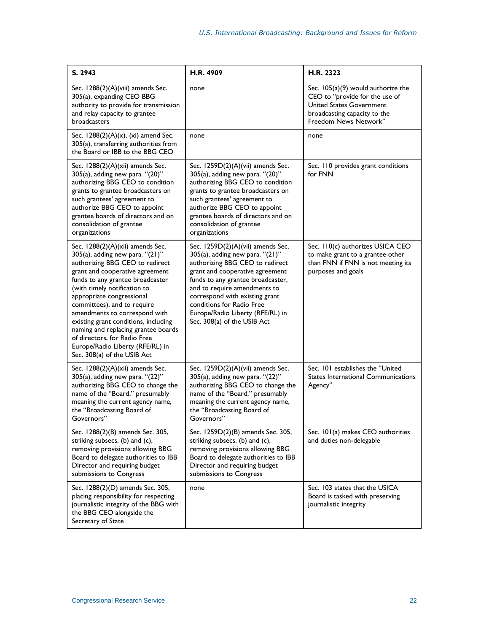| S. 2943                                                                                                                                                                                                                                                                                                                                                                                                                                                                                      | H.R. 4909                                                                                                                                                                                                                                                                                                                                                | H.R. 2323                                                                                                                                                          |
|----------------------------------------------------------------------------------------------------------------------------------------------------------------------------------------------------------------------------------------------------------------------------------------------------------------------------------------------------------------------------------------------------------------------------------------------------------------------------------------------|----------------------------------------------------------------------------------------------------------------------------------------------------------------------------------------------------------------------------------------------------------------------------------------------------------------------------------------------------------|--------------------------------------------------------------------------------------------------------------------------------------------------------------------|
| Sec. 1288(2)(A)(viii) amends Sec.<br>305(a), expanding CEO BBG<br>authority to provide for transmission<br>and relay capacity to grantee<br>broadcasters                                                                                                                                                                                                                                                                                                                                     | none                                                                                                                                                                                                                                                                                                                                                     | Sec. $105(a)(9)$ would authorize the<br>CEO to "provide for the use of<br><b>United States Government</b><br>broadcasting capacity to the<br>Freedom News Network" |
| Sec. $1288(2)(A)(x)$ , (xi) amend Sec.<br>305(a), transferring authorities from<br>the Board or IBB to the BBG CEO                                                                                                                                                                                                                                                                                                                                                                           | none                                                                                                                                                                                                                                                                                                                                                     | none                                                                                                                                                               |
| Sec. 1288(2)(A)(xii) amends Sec.<br>305(a), adding new para. "(20)"<br>authorizing BBG CEO to condition<br>grants to grantee broadcasters on<br>such grantees' agreement to<br>authorize BBG CEO to appoint<br>grantee boards of directors and on<br>consolidation of grantee<br>organizations                                                                                                                                                                                               | Sec. 1259D(2)(A)(vii) amends Sec.<br>305(a), adding new para. "(20)"<br>authorizing BBG CEO to condition<br>grants to grantee broadcasters on<br>such grantees' agreement to<br>authorize BBG CEO to appoint<br>grantee boards of directors and on<br>consolidation of grantee<br>organizations                                                          | Sec. 110 provides grant conditions<br>for FNN                                                                                                                      |
| Sec. 1288(2)(A)(xii) amends Sec.<br>305(a), adding new para. "(21)"<br>authorizing BBG CEO to redirect<br>grant and cooperative agreement<br>funds to any grantee broadcaster<br>(with timely notification to<br>appropriate congressional<br>committees), and to require<br>amendments to correspond with<br>existing grant conditions, including<br>naming and replacing grantee boards<br>of directors, for Radio Free<br>Europe/Radio Liberty (RFE/RL) in<br>Sec. 308(a) of the USIB Act | Sec. 1259D(2)(A)(vii) amends Sec.<br>$305(a)$ , adding new para. " $(21)$ "<br>authorizing BBG CEO to redirect<br>grant and cooperative agreement<br>funds to any grantee broadcaster,<br>and to require amendments to<br>correspond with existing grant<br>conditions for Radio Free<br>Europe/Radio Liberty (RFE/RL) in<br>Sec. 308(a) of the USIB Act | Sec. 110(c) authorizes USICA CEO<br>to make grant to a grantee other<br>than FNN if FNN is not meeting its<br>purposes and goals                                   |
| Sec. 1288(2)(A)(xii) amends Sec.<br>305(a), adding new para. "(22)"<br>authorizing BBG CEO to change the<br>name of the "Board," presumably<br>meaning the current agency name,<br>the "Broadcasting Board of<br>Governors"                                                                                                                                                                                                                                                                  | Sec. 1259D(2)(A)(vii) amends Sec.<br>$305(a)$ , adding new para. " $(22)$ "<br>authorizing BBG CEO to change the<br>name of the "Board," presumably<br>meaning the current agency name,<br>the "Broadcasting Board of<br>Governors"                                                                                                                      | Sec. 101 establishes the "United<br>States International Communications<br>Agency"                                                                                 |
| Sec. 1288(2)(B) amends Sec. 305,<br>striking subsecs. (b) and (c),<br>removing provisions allowing BBG<br>Board to delegate authorities to IBB<br>Director and requiring budget<br>submissions to Congress                                                                                                                                                                                                                                                                                   | Sec. 1259D(2)(B) amends Sec. 305,<br>striking subsecs. (b) and (c),<br>removing provisions allowing BBG<br>Board to delegate authorities to IBB<br>Director and requiring budget<br>submissions to Congress                                                                                                                                              | Sec. 101(a) makes CEO authorities<br>and duties non-delegable                                                                                                      |
| Sec. 1288(2)(D) amends Sec. 305,<br>placing responsibility for respecting<br>journalistic integrity of the BBG with<br>the BBG CEO alongside the<br>Secretary of State                                                                                                                                                                                                                                                                                                                       | none                                                                                                                                                                                                                                                                                                                                                     | Sec. 103 states that the USICA<br>Board is tasked with preserving<br>journalistic integrity                                                                        |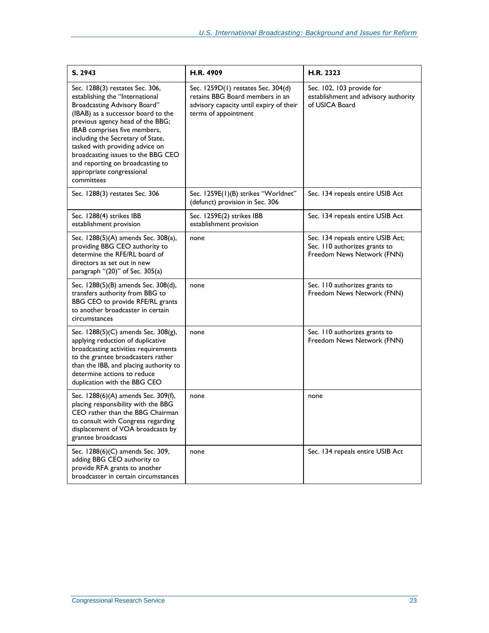| S. 2943                                                                                                                                                                                                                                                                                                                                                                                                   | H.R. 4909                                                                                                                                | H.R. 2323                                                                                        |
|-----------------------------------------------------------------------------------------------------------------------------------------------------------------------------------------------------------------------------------------------------------------------------------------------------------------------------------------------------------------------------------------------------------|------------------------------------------------------------------------------------------------------------------------------------------|--------------------------------------------------------------------------------------------------|
| Sec. 1288(3) restates Sec. 306,<br>establishing the "International<br>Broadcasting Advisory Board"<br>(IBAB) as a successor board to the<br>previous agency head of the BBG;<br>IBAB comprises five members,<br>including the Secretary of State,<br>tasked with providing advice on<br>broadcasting issues to the BBG CEO<br>and reporting on broadcasting to<br>appropriate congressional<br>committees | Sec. 1259D(1) restates Sec. 304(d)<br>retains BBG Board members in an<br>advisory capacity until expiry of their<br>terms of appointment | Sec. 102, 103 provide for<br>establishment and advisory authority<br>of USICA Board              |
| Sec. 1288(3) restates Sec. 306                                                                                                                                                                                                                                                                                                                                                                            | Sec. 1259E(1)(B) strikes "Worldnet"<br>(defunct) provision in Sec. 306                                                                   | Sec. 134 repeals entire USIB Act                                                                 |
| Sec. 1288(4) strikes IBB<br>establishment provision                                                                                                                                                                                                                                                                                                                                                       | Sec. 1259E(2) strikes IBB<br>establishment provision                                                                                     | Sec. 134 repeals entire USIB Act                                                                 |
| Sec. 1288(5)(A) amends Sec. 308(a),<br>providing BBG CEO authority to<br>determine the RFE/RL board of<br>directors as set out in new<br>paragraph "(20)" of Sec. 305(a)                                                                                                                                                                                                                                  | none                                                                                                                                     | Sec. 134 repeals entire USIB Act;<br>Sec. 110 authorizes grants to<br>Freedom News Network (FNN) |
| Sec. 1288(5)(B) amends Sec. 308(d),<br>transfers authority from BBG to<br>BBG CEO to provide RFE/RL grants<br>to another broadcaster in certain<br>circumstances                                                                                                                                                                                                                                          | none                                                                                                                                     | Sec. 110 authorizes grants to<br>Freedom News Network (FNN)                                      |
| Sec. 1288(5)(C) amends Sec. 308(g),<br>applying reduction of duplicative<br>broadcasting activities requirements<br>to the grantee broadcasters rather<br>than the IBB, and placing authority to<br>determine actions to reduce<br>duplication with the BBG CEO                                                                                                                                           | none                                                                                                                                     | Sec. 110 authorizes grants to<br>Freedom News Network (FNN)                                      |
| Sec. 1288(6)(A) amends Sec. 309(f),<br>placing responsibility with the BBG<br>CEO rather than the BBG Chairman<br>to consult with Congress regarding<br>displacement of VOA broadcasts by<br>grantee broadcasts                                                                                                                                                                                           | none                                                                                                                                     | none                                                                                             |
| Sec. 1288(6)(C) amends Sec. 309,<br>adding BBG CEO authority to<br>provide RFA grants to another<br>broadcaster in certain circumstances                                                                                                                                                                                                                                                                  | none                                                                                                                                     | Sec. 134 repeals entire USIB Act                                                                 |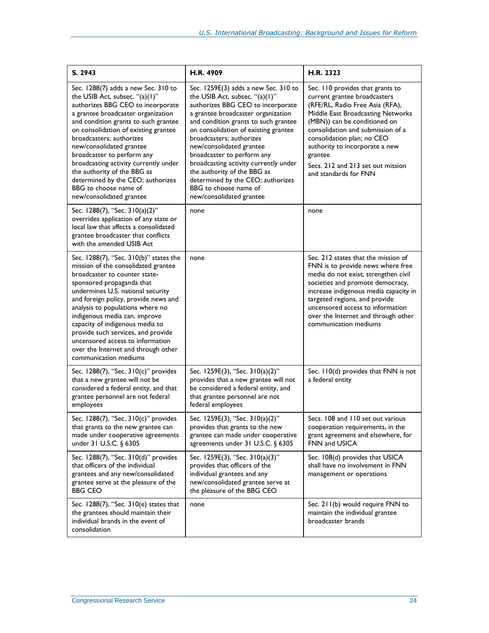| S. 2943                                                                                                                                                                                                                                                                                                                                                                                                                                                                                  | H.R. 4909                                                                                                                                                                                                                                                                                                                                                                                                                                                                                 | H.R. 2323                                                                                                                                                                                                                                                                                                                                              |
|------------------------------------------------------------------------------------------------------------------------------------------------------------------------------------------------------------------------------------------------------------------------------------------------------------------------------------------------------------------------------------------------------------------------------------------------------------------------------------------|-------------------------------------------------------------------------------------------------------------------------------------------------------------------------------------------------------------------------------------------------------------------------------------------------------------------------------------------------------------------------------------------------------------------------------------------------------------------------------------------|--------------------------------------------------------------------------------------------------------------------------------------------------------------------------------------------------------------------------------------------------------------------------------------------------------------------------------------------------------|
| Sec. 1288(7) adds a new Sec. 310 to<br>the USIB Act, subsec. "(a)(1)"<br>authorizes BBG CEO to incorporate<br>a grantee broadcaster organization<br>and condition grants to such grantee<br>on consolidation of existing grantee<br>broadcasters; authorizes<br>new/consolidated grantee<br>broadcaster to perform any<br>broadcasting activity currently under<br>the authority of the BBG as<br>determined by the CEO; authorizes<br>BBG to choose name of<br>new/consolidated grantee | Sec. 1259E(3) adds a new Sec. 310 to<br>the USIB Act, subsec. "(a)(1)"<br>authorizes BBG CEO to incorporate<br>a grantee broadcaster organization<br>and condition grants to such grantee<br>on consolidation of existing grantee<br>broadcasters; authorizes<br>new/consolidated grantee<br>broadcaster to perform any<br>broadcasting activity currently under<br>the authority of the BBG as<br>determined by the CEO; authorizes<br>BBG to choose name of<br>new/consolidated grantee | Sec. 110 provides that grants to<br>current grantee broadcasters<br>(RFE/RL, Radio Free Asia (RFA),<br>Middle East Broadcasting Networks<br>(MBN)) can be conditioned on<br>consolidation and submission of a<br>consolidation plan; no CEO<br>authority to incorporate a new<br>grantee<br>Secs. 212 and 213 set out mission<br>and standards for FNN |
| Sec. 1288(7), "Sec. 310(a)(2)"<br>overrides application of any state or<br>local law that affects a consolidated<br>grantee broadcaster that conflicts<br>with the amended USIB Act                                                                                                                                                                                                                                                                                                      | none                                                                                                                                                                                                                                                                                                                                                                                                                                                                                      | none                                                                                                                                                                                                                                                                                                                                                   |
| Sec. 1288(7), "Sec. 310(b)" states the<br>mission of the consolidated grantee<br>broadcaster to counter state-<br>sponsored propaganda that<br>undermines U.S. national security<br>and foreign policy, provide news and<br>analysis to populations where no<br>indigenous media can, improve<br>capacity of indigenous media to<br>provide such services, and provide<br>uncensored access to information<br>over the Internet and through other<br>communication mediums               | none                                                                                                                                                                                                                                                                                                                                                                                                                                                                                      | Sec. 212 states that the mission of<br>FNN is to provide news where free<br>media do not exist, strengthen civil<br>societies and promote democracy,<br>increase indigenous media capacity in<br>targeted regions, and provide<br>uncensored access to information<br>over the Internet and through other<br>communication mediums                     |
| Sec. 1288(7), "Sec. 310(c)" provides<br>that a new grantee will not be<br>considered a federal entity, and that<br>grantee personnel are not federal<br>employees                                                                                                                                                                                                                                                                                                                        | Sec. 1259E(3), "Sec. 310(a)(2)"<br>provides that a new grantee will not<br>be considered a federal entity, and<br>that grantee personnel are not<br>federal employees                                                                                                                                                                                                                                                                                                                     | Sec. 110(d) provides that FNN is not<br>a federal entity                                                                                                                                                                                                                                                                                               |
| Sec. 1288(7), "Sec. 310(c)" provides<br>that grants to the new grantee can<br>made under cooperative agreements<br>under 31 U.S.C. § 6305                                                                                                                                                                                                                                                                                                                                                | Sec. 1259E(3), "Sec. 310(a)(2)"<br>provides that grants to the new<br>grantee can made under cooperative<br>agreements under $31$ U.S.C. § 6305                                                                                                                                                                                                                                                                                                                                           | Secs. 108 and 110 set out various<br>cooperation requirements, in the<br>grant agreement and elsewhere, for<br>FNN and USICA                                                                                                                                                                                                                           |
| Sec. 1288(7), "Sec. 310(d)" provides<br>that officers of the individual<br>grantees and any new/consolidated<br>grantee serve at the pleasure of the<br><b>BBG CEO</b>                                                                                                                                                                                                                                                                                                                   | Sec. 1259E(3), "Sec. 310(a)(3)"<br>provides that officers of the<br>individual grantees and any<br>new/consolidated grantee serve at<br>the pleasure of the BBG CEO                                                                                                                                                                                                                                                                                                                       | Sec. 108(d) provides that USICA<br>shall have no involvement in FNN<br>management or operations                                                                                                                                                                                                                                                        |
| Sec. 1288(7), "Sec. 310(e) states that<br>the grantees should maintain their<br>individual brands in the event of<br>consolidation                                                                                                                                                                                                                                                                                                                                                       | none                                                                                                                                                                                                                                                                                                                                                                                                                                                                                      | Sec. 211(b) would require FNN to<br>maintain the individual grantee<br>broadcaster brands                                                                                                                                                                                                                                                              |